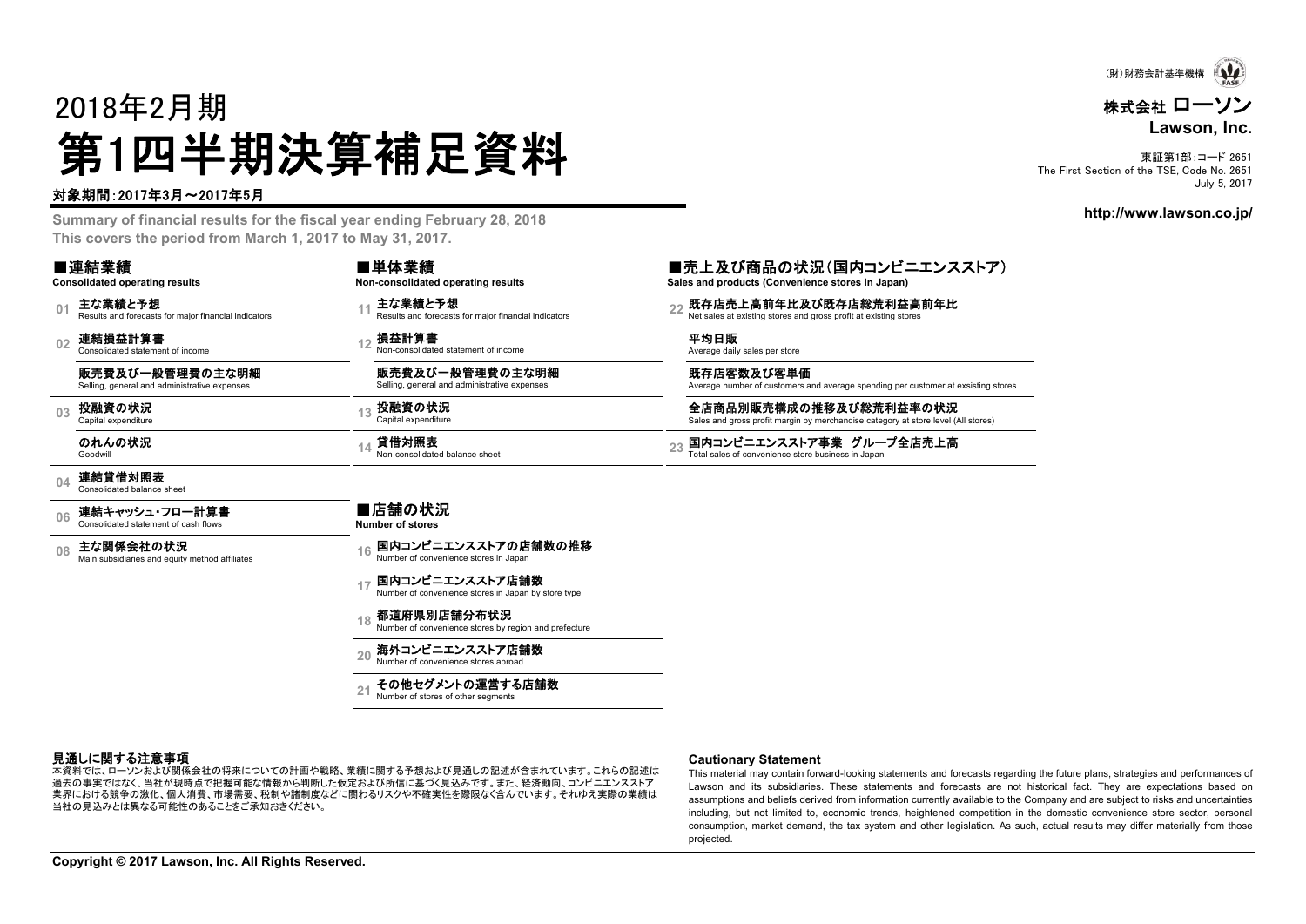

# 株式会社 ローソン **Lawson, Inc.**

東証第1部:コード 2651 The First Section of the TSF, Code No. 2651 July 5, 2017

**http://www.lawson.co.jp/**

# 2018年2月期 第1四半期決算補足資料

#### 対象期間:2017年3月~2017年5月

**Summary of financial results for the fiscal year ending February 28, 2018 This covers the period from March 1, 2017 to May 31, 2017.**

**21**

Number of convenience stores abroad その他セグメントの運営する店舗数 Number of stores of other segments

-<br>本資料では、ローソンおよび関係会社の将来についての計画や戦略、業績に関する予想および見通しの記述が含まれています。これらの記述は 過去の事実ではなく、当社が現時点で把握可能な情報から判断した仮定および所信に基づく見込みです。また、経済動向、コンビニエンスストア 業界における競争の激化、個人消費、市場需要、税制や諸制度などに関わるリスクや不確実性を際限なく含んでいます。それゆえ実際の業績は

| ■連結業績<br><b>Consolidated operating results</b>                                    | ■単体業績<br>Non-consolidated operating results                                  | ■売上及び商品の状況(国内コンビニエンスストア)<br>Sales and products (Convenience stores in Japan)                                |
|-----------------------------------------------------------------------------------|------------------------------------------------------------------------------|-------------------------------------------------------------------------------------------------------------|
| 主な業績と予想<br>0 <sub>1</sub><br>Results and forecasts for major financial indicators | 主な業績と予想<br>47<br>Results and forecasts for maior financial indicators        | 既存店売上高前年比及び既存店総荒利益高前年比<br>22<br>Net sales at existing stores and gross profit at existing stores            |
| 連結損益計算書<br>0 <sub>2</sub><br>Consolidated statement of income                     | 損益計算書<br>Non-consolidated statement of income                                | 平均日販<br>Average daily sales per store                                                                       |
| 販売費及び一般管理費の主な明細<br>Selling, general and administrative expenses                   | 販売費及び一般管理費の主な明細<br>Selling, general and administrative expenses              | 既存店客数及び客単価<br>Average number of customers and average spending per customer at exsisting stores             |
| 投融資の状況<br>0 <sub>3</sub><br>Capital expenditure                                   | 投融資の状況<br>Capital expenditure                                                | 全店商品別販売構成の推移及び総荒利益率の状況<br>Sales and gross profit margin by merchandise category at store level (All stores) |
| のれんの状況<br>Goodwill                                                                | 貸借対照表<br>14<br>Non-consolidated balance sheet                                | 国内コンビニエンスストア事業 グループ全店売上高<br>23<br>Total sales of convenience store business in Japan                        |
| 連結貸借対照表<br>04<br>Consolidated balance sheet                                       |                                                                              |                                                                                                             |
| 連結キャッシュ・フロー計算書<br>06<br>Consolidated statement of cash flows                      | ■店舗の状況<br><b>Number of stores</b>                                            |                                                                                                             |
| 主な関係会社の状況<br>08<br>Main subsidiaries and equity method affiliates                 | 国内コンビニエンスストアの店舗数の推移<br>Number of convenience stores in Japan                 |                                                                                                             |
|                                                                                   | 国内コンビニエンスストア店舗数<br>17<br>Number of convenience stores in Japan by store type |                                                                                                             |
|                                                                                   | 都道府県別店舗分布状況<br>Number of convenience stores by region and prefecture         |                                                                                                             |
|                                                                                   | 海外コンビニエンスストア店舗数                                                              |                                                                                                             |

見通しに関する注意事項

#### **Cautionary Statement**

This material may contain forward-looking statements and forecasts regarding the future plans, strategies and performances of Lawson and its subsidiaries. These statements and forecasts are not historical fact. They are expectations based on assumptions and beliefs derived from information currently available to the Company and are subject to risks and uncertainties including, but not limited to, economic trends, heightened competition in the domestic convenience store sector, personal consumption, market demand, the tax system and other legislation. As such, actual results may differ materially from those projected.

当社の見込みとは異なる可能性のあることをご承知おきください。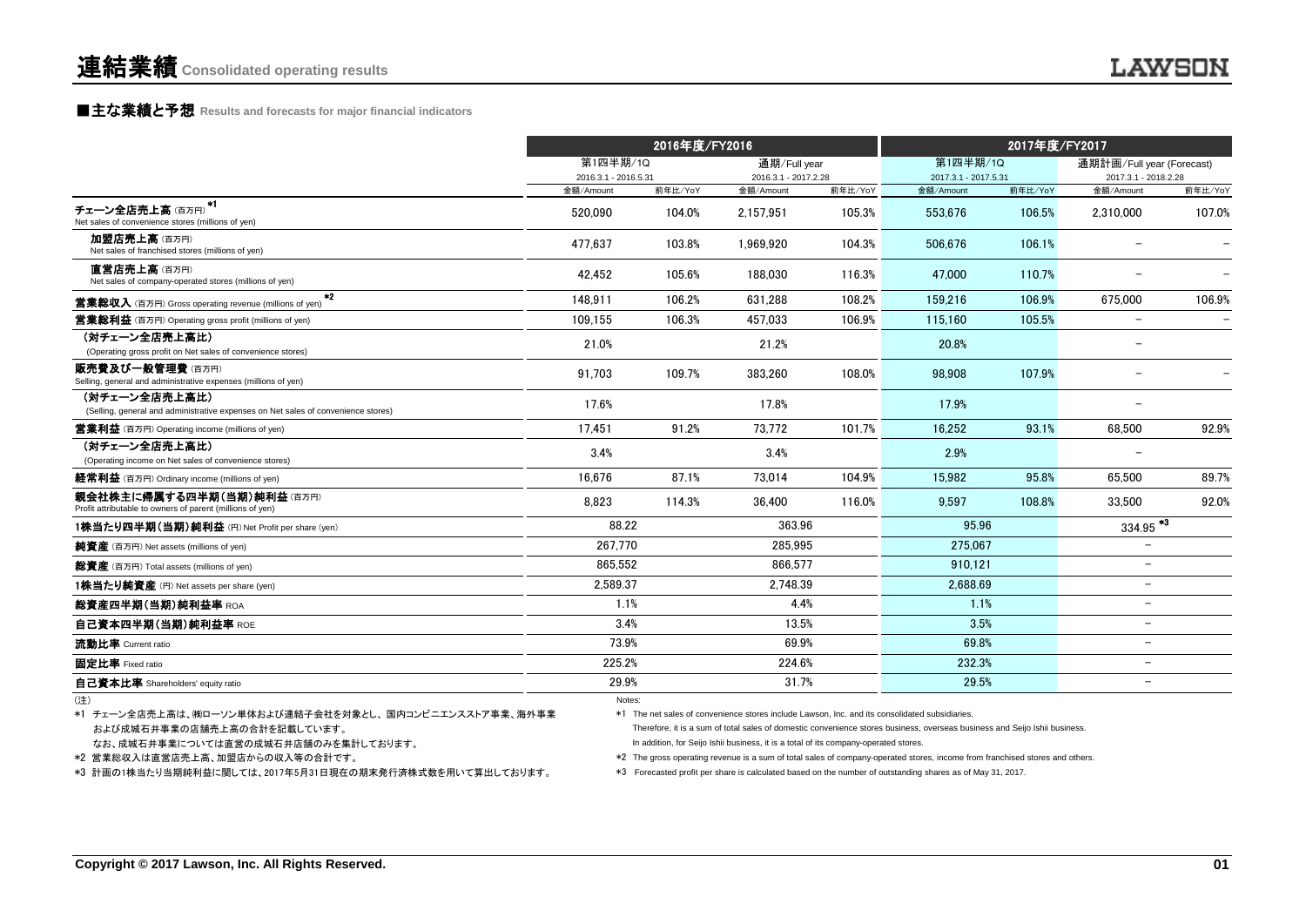#### **■主な業績と予想** Results and forecasts for major financial indicators

|                                                                                                    |                                   | 2016年度/FY2016                        |                                   |              | 2017年度/FY2017                     |         |                                   |         |
|----------------------------------------------------------------------------------------------------|-----------------------------------|--------------------------------------|-----------------------------------|--------------|-----------------------------------|---------|-----------------------------------|---------|
|                                                                                                    |                                   | 第1四半期/1Q<br>第1四半期/1Q<br>通期/Full year |                                   |              | 通期計画/Full year (Forecast)         |         |                                   |         |
|                                                                                                    | 2016.3.1 - 2016.5.31<br>金額/Amount | 前年比/YoY                              | 2016.3.1 - 2017.2.28<br>金額/Amount | 前年比/YoY      | 2017.3.1 - 2017.5.31<br>金額/Amount | 前年比/YoY | 2017.3.1 - 2018.2.28<br>金額/Amount | 前年比/YoY |
| *1<br>チェーン全店売上高(百万円)<br>Net sales of convenience stores (millions of yen)                          | 520.090                           | 104.0%                               | 2.157.951                         | 105.3%       | 553.676                           | 106.5%  | 2.310.000                         | 107.0%  |
| 加盟店売上高(百万円)<br>Net sales of franchised stores (millions of yen)                                    | 477.637                           | 103.8%                               | 1,969,920                         | 104.3%       | 506.676                           | 106.1%  |                                   |         |
| 直営店売上高(百万円)<br>Net sales of company-operated stores (millions of yen)                              | 42.452                            | 105.6%                               | 188.030                           | 116.3%       | 47.000                            | 110.7%  |                                   |         |
| $*2$<br><b>営業総収入</b> (百万円) Gross operating revenue (millions of yen)                               | 148.911                           | 106.2%                               | 631.288                           | 108.2%       | 159.216                           | 106.9%  | 675.000                           | 106.9%  |
| <b>営業総利益</b> (百万円) Operating gross profit (millions of yen)                                        | 109,155                           | 106.3%                               | 457.033                           | 106.9%       | 115.160                           | 105.5%  | $\overline{\phantom{0}}$          |         |
| (対チェーン全店売上高比)<br>(Operating gross profit on Net sales of convenience stores)                       | 21.0%                             |                                      | 21.2%                             |              | 20.8%                             |         | $\overline{\phantom{0}}$          |         |
| 販売費及び一般管理費(百万円)<br>Selling, general and administrative expenses (millions of yen)                  | 91.703                            | 109.7%                               | 383.260                           | 108.0%       | 98.908                            | 107.9%  |                                   |         |
| (対チェーン全店売上高比)<br>(Selling, general and administrative expenses on Net sales of convenience stores) | 17.6%                             |                                      | 17.8%                             |              | 17.9%                             |         |                                   |         |
| <b>営業利益</b> (百万円) Operating income (millions of yen)                                               | 17.451                            | 91.2%                                | 73,772                            | 101.7%       | 16,252                            | 93.1%   | 68,500                            | 92.9%   |
| (対チェーン全店売上高比)<br>(Operating income on Net sales of convenience stores)                             | 3.4%                              |                                      | 3.4%                              |              | 2.9%                              |         |                                   |         |
| 経常利益 (百万円) Ordinary income (millions of yen)                                                       | 16.676                            | 87.1%                                | 73.014                            | 104.9%       | 15.982                            | 95.8%   | 65.500                            | 89.7%   |
| 親会社株主に帰属する四半期(当期)純利益(百万円)<br>Profit attributable to owners of parent (millions of yen)             | 8.823                             | 114.3%                               | 36.400                            | 116.0%       | 9.597                             | 108.8%  | 33.500                            | 92.0%   |
| 1株当たり四半期(当期)純利益 (円) Net Profit per share (yen)                                                     | 88.22                             |                                      | 363.96                            |              | 95.96                             |         | $334.95$ <sup>*3</sup>            |         |
| 純資産 (百万円) Net assets (millions of yen)                                                             | 267.770                           |                                      | 285.995                           |              | 275.067                           |         | $-$                               |         |
| 総資産 (百万円) Total assets (millions of yen)                                                           | 865.552                           |                                      | 866.577                           |              | 910.121                           |         | $\overline{\phantom{0}}$          |         |
| 1株当たり純資産 (円) Net assets per share (yen)                                                            | 2.589.37                          |                                      | 2.748.39                          |              | 2.688.69                          |         | $\overline{\phantom{0}}$          |         |
| 総資産四半期(当期)純利益率 ROA                                                                                 | 1.1%                              |                                      |                                   | 4.4%<br>1.1% |                                   |         | $\overline{\phantom{0}}$          |         |
| 自己資本四半期(当期)純利益率 ROE                                                                                | 3.4%                              |                                      | 13.5%                             |              | 3.5%                              |         | $\overline{\phantom{0}}$          |         |
| 流動比率 Current ratio                                                                                 | 73.9%                             |                                      | 69.9%                             |              | 69.8%                             |         | $\overline{\phantom{0}}$          |         |
| 固定比率 Fixed ratio                                                                                   | 225.2%                            |                                      | 224.6%                            |              | 232.3%                            |         | $\overline{\phantom{0}}$          |         |
| 自己資本比率 Shareholders' equity ratio                                                                  | 29.9%                             |                                      | 31.7%                             |              | 29.5%                             |         | $\overline{\phantom{0}}$          |         |
| (注)                                                                                                | Notes:                            |                                      |                                   |              |                                   |         |                                   |         |

 および成城石井事業の店舗売上高の合計を記載しています。 \*1 チェーン全店売上高は、㈱ローソン単体および連結子会社を対象とし、 国内コンビニエンスストア事業、海外事業 \*1 The net sales of convenience stores include Lawson, Inc. and its consolidated subsidiaries.

なお、成城石井事業については直営の成城石井店舗のみを集計しております。

\*3 計画の1株当たり当期純利益に関しては、2017年5月31日現在の期末発行済株式数を用いて算出しております。

 Therefore, it is a sum of total sales of domestic convenience stores business, overseas business and Seijo Ishii business. In addition, for Seijo Ishii business, it is a total of its company-operated stores.

\*2 営業総収入は直営店売上高、加盟店からの収入等の合計です。 \*2 The gross operating revenue is a sum of total sales of company-operated stores, income from franchised stores and others.

\*3 Forecasted profit per share is calculated based on the number of outstanding shares as of May 31, 2017.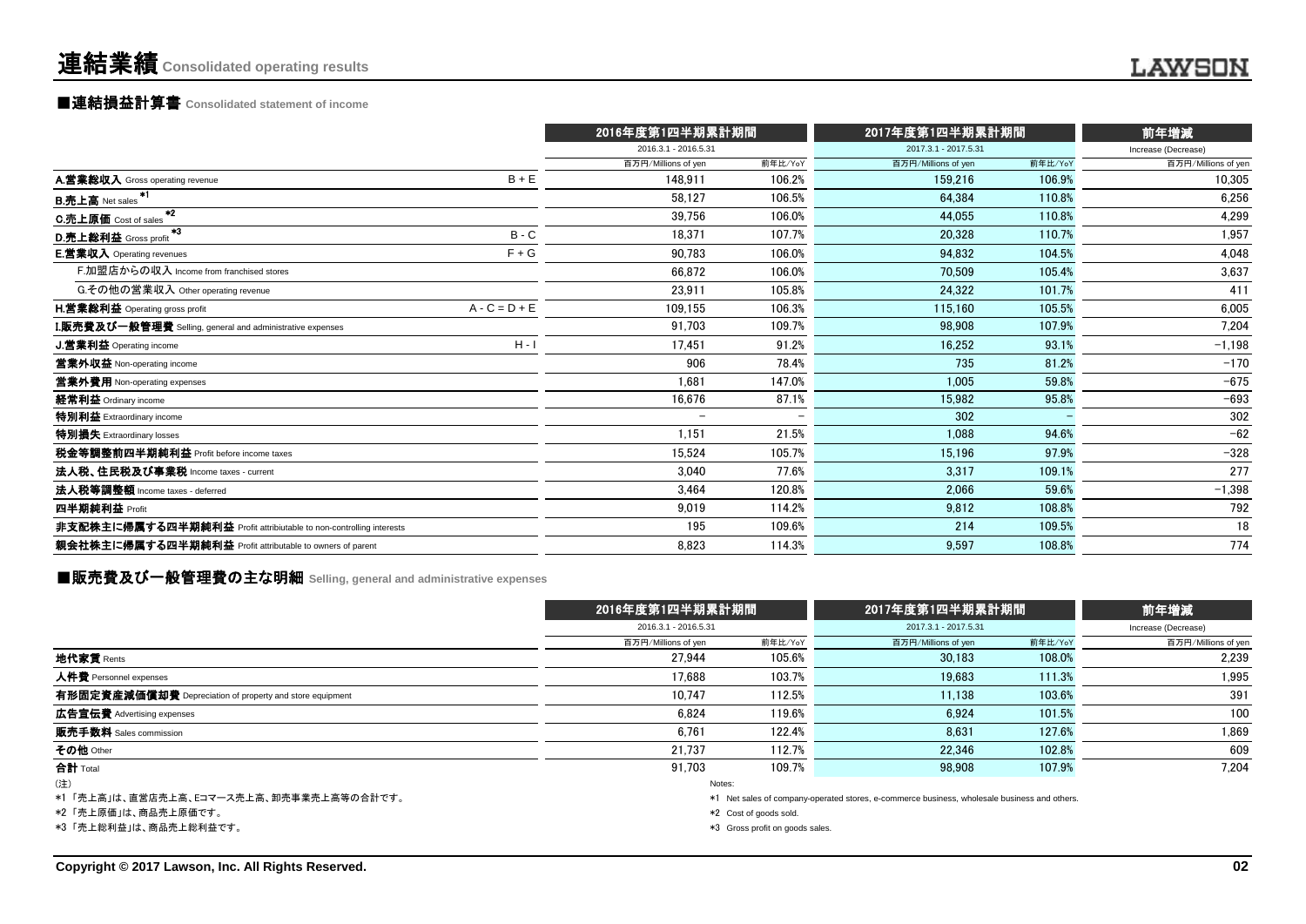# ■連結損益計算書 **Consolidated statement of income**

|                                                                    |                          | 2016年度第1四半期累計期間 |                      | 2017年度第1四半期累計期間 |                     |  |
|--------------------------------------------------------------------|--------------------------|-----------------|----------------------|-----------------|---------------------|--|
|                                                                    | 2016.3.1 - 2016.5.31     |                 | 2017.3.1 - 2017.5.31 |                 | Increase (Decrease) |  |
|                                                                    | 百万円/Millions of yen      | 前年比/YoY         | 百万円/Millions of yen  | 前年比/YoY         | 百万円/Millions of yen |  |
| $B + E$<br>A.営業総収入 Gross operating revenue                         | 148.911                  | 106.2%          | 159.216              | 106.9%          | 10,305              |  |
| -*1<br><b>B.売上高</b> Net sales                                      | 58.127                   | 106.5%          | 64.384               | 110.8%          | 6,256               |  |
| $*2$<br>C.売上原価 Cost of sales                                       | 39,756                   | 106.0%          | 44.055               | 110.8%          | 4,299               |  |
| $*3$<br>$B - C$<br>D.売上総利益 Gross profit                            | 18.371                   | 107.7%          | 20,328               | 110.7%          | 1,957               |  |
| $F + G$<br><b>E.営業収入</b> Operating revenues                        | 90.783                   | 106.0%          | 94,832               | 104.5%          | 4,048               |  |
| F.加盟店からの収入 Income from franchised stores                           | 66,872                   | 106.0%          | 70,509               | 105.4%          | 3,637               |  |
| G.その他の営業収入 Other operating revenue                                 | 23,911                   | 105.8%          | 24,322               | 101.7%          | 411                 |  |
| $A - C = D + E$<br><b>H.営業総利益</b> Operating gross profit           | 109,155                  | 106.3%          | 115,160              | 105.5%          | 6,005               |  |
| I.販売費及び一般管理費 Selling, general and administrative expenses          | 91.703                   | 109.7%          | 98,908               | 107.9%          | 7,204               |  |
| $H - I$<br><b>J.営業利益</b> Operating income                          | 17.451                   | 91.2%           | 16,252               | 93.1%           | $-1,198$            |  |
| 営業外収益 Non-operating income                                         | 906                      | 78.4%           | 735                  | 81.2%           | $-170$              |  |
| 営業外費用 Non-operating expenses                                       | 1.681                    | 147.0%          | 1,005                | 59.8%           | $-675$              |  |
| 経常利益 Ordinary income                                               | 16,676                   | 87.1%           | 15,982               | 95.8%           | $-693$              |  |
| 特別利益 Extraordinary income                                          | $\overline{\phantom{m}}$ |                 | 302                  |                 | 302                 |  |
| 特別損失 Extraordinary losses                                          | 1,151                    | 21.5%           | 1.088                | 94.6%           | $-62$               |  |
| 税金等調整前四半期純利益 Profit before income taxes                            | 15.524                   | 105.7%          | 15.196               | 97.9%           | $-328$              |  |
| 法人税、住民税及び事業税 Income taxes - current                                | 3.040                    | 77.6%           | 3.317                | 109.1%          | 277                 |  |
| 法人税等調整額 Income taxes - deferred                                    | 3.464                    | 120.8%          | 2.066                | 59.6%           | $-1,398$            |  |
| 四半期純利益 Profit                                                      | 9,019                    | 114.2%          | 9,812                | 108.8%          | 792                 |  |
| 非支配株主に帰属する四半期純利益 Profit attribiutable to non-controlling interests | 195                      | 109.6%          | 214                  | 109.5%          | 18                  |  |
| 親会社株主に帰属する四半期純利益 Profit attributable to owners of parent           | 8.823                    | 114.3%          | 9,597                | 108.8%          | 774                 |  |

■販売費及び一般管理費の主な明細 **Selling, general and administrative expenses**

|                                                          |                      | 2016年度第1四半期累計期間                 |                                                                                              | 2017年度第1四半期累計期間 |                     |  |  |
|----------------------------------------------------------|----------------------|---------------------------------|----------------------------------------------------------------------------------------------|-----------------|---------------------|--|--|
|                                                          | 2016.3.1 - 2016.5.31 |                                 | 2017.3.1 - 2017.5.31                                                                         |                 | Increase (Decrease) |  |  |
|                                                          | 百万円/Millions of yen  | 前年比/YoY                         | 百万円/Millions of yen                                                                          | 前年比/YoY         | 百万円/Millions of yen |  |  |
| 地代家賃 Rents                                               | 27.944               | 105.6%                          | 30.183                                                                                       | 108.0%          | 2,239               |  |  |
| 人件費 Personnel expenses                                   | 17.688               | 103.7%                          | 19.683                                                                                       | 111.3%          | 1,995               |  |  |
| 有形固定資産減価償却費 Depreciation of property and store equipment | 10.747               | 112.5%                          | 11.138                                                                                       | 103.6%          | 391                 |  |  |
| 広告宣伝費 Advertising expenses                               | 6.824                | 119.6%                          | 6.924                                                                                        | 101.5%          | 100                 |  |  |
| 販売手数料 Sales commission                                   | 6.761                | 122.4%                          | 8.631                                                                                        | 127.6%          | 1,869               |  |  |
| その他 Other                                                | 21.737               | 112.7%                          | 22.346                                                                                       | 102.8%          | 609                 |  |  |
| 合計 Total                                                 | 91.703               | 109.7%                          | 98.908                                                                                       | 107.9%          | 7.204               |  |  |
| (注)                                                      |                      | Notes:                          |                                                                                              |                 |                     |  |  |
| *1 「売上高」は、直営店売上高、Eコマース売上高、卸売事業売上高等の合計です。                 |                      |                                 | *1 Net sales of company-operated stores, e-commerce business, wholesale business and others. |                 |                     |  |  |
| *2「売上原価」は、商品売上原価です。                                      |                      | *2 Cost of goods sold.          |                                                                                              |                 |                     |  |  |
| *3「売上総利益」は、商品売上総利益です。                                    |                      | *3 Gross profit on goods sales. |                                                                                              |                 |                     |  |  |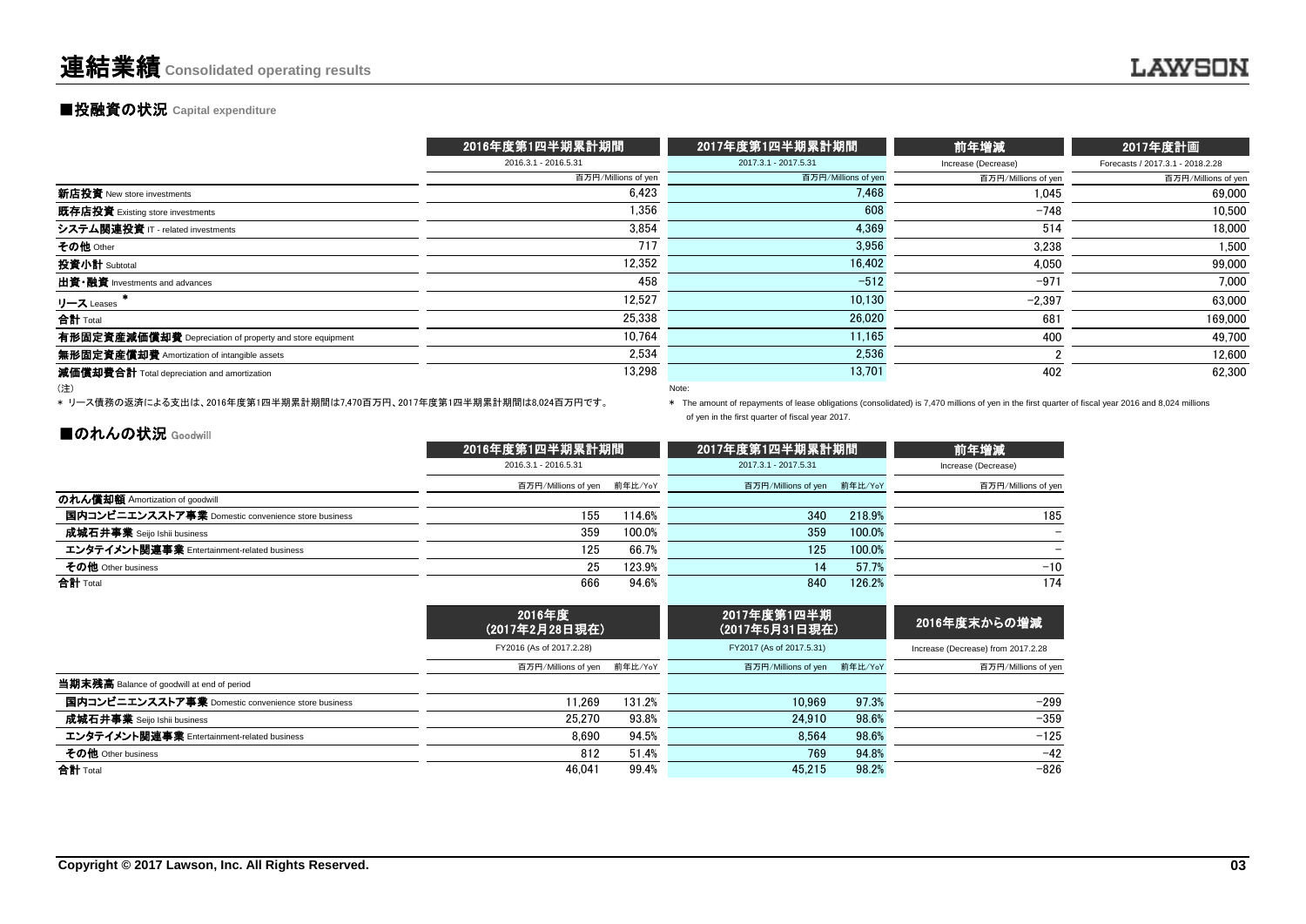# **■投融資の状況 Capital expenditure**

|                                                          | 2016年度第1四半期累計期間      | 2017年度第1四半期累計期間      | 前年増減                | 2017年度計画                         |
|----------------------------------------------------------|----------------------|----------------------|---------------------|----------------------------------|
|                                                          | 2016.3.1 - 2016.5.31 | 2017.3.1 - 2017.5.31 | Increase (Decrease) | Forecasts / 2017.3.1 - 2018.2.28 |
|                                                          | 百万円/Millions of yen  | 百万円/Millions of yen  | 百万円/Millions of yen | 百万円/Millions of yen              |
| 新店投資 New store investments                               | 6,423                | 7,468                | 1,045               | 69.000                           |
| 既存店投資 Existing store investments                         | 1,356                | 608                  | $-748$              | 10.500                           |
| システム関連投資 IT - related investments                        | 3.854                | 4.369                | 514                 | 18,000                           |
| その他 Other                                                | 717                  | 3,956                | 3.238               | 1,500                            |
| 投資小計 Subtotal                                            | 12,352               | 16,402               | 4,050               | 99,000                           |
| 出資·融資 Investments and advances                           | 458                  | $-512$               | $-971$              | 7,000                            |
| リース Leases                                               | 12,527               | 10,130               | $-2,397$            | 63,000                           |
| 合計 Total                                                 | 25,338               | 26,020               | 681                 | 169,000                          |
| 有形固定資産減価償却費 Depreciation of property and store equipment | 10.764               | 11.165               | 400                 | 49.700                           |
| 無形固定資産償却費 Amortization of intangible assets              | 2,534                | 2,536                |                     | 12,600                           |
| 減価償却費合計 Total depreciation and amortization              | 13,298               | 13,701               | 402                 | 62,300                           |
| (注)                                                      |                      | Note:                |                     |                                  |

\* リース債務の返済による支出は、2016年度第1四半期累計期間は7,470百万円、2017年度第1四半期累計期間は8,024百万円です。

\* The amount of repayments of lease obligations (consolidated) is 7,470 millions of yen in the first quarter of fiscal year 2016 and 8,024 millions of yen in the first quarter of fiscal year 2017.

### ■のれんの状況 Goodwill

|                                                    | 2016年度第1四半期累計期間             | 2017年度第1四半期累計期間      | 前年増減                        |        |                     |
|----------------------------------------------------|-----------------------------|----------------------|-----------------------------|--------|---------------------|
|                                                    | 2016.3.1 - 2016.5.31        | 2017.3.1 - 2017.5.31 | Increase (Decrease)         |        |                     |
|                                                    | 百万円/Millions of yen 前年比/YoY |                      | 百万円/Millions of yen 前年比/YoY |        | 百万円/Millions of yen |
| のれん償却額 Amortization of goodwill                    |                             |                      |                             |        |                     |
| 国内コンビニエンスストア事業 Domestic convenience store business | 155                         | 14.6%                | 340                         | 218.9% | 185                 |
| <b>成城石井事業</b> Seijo Ishii business                 | 359                         | 100.0%               | 359                         | 100.0% | -                   |
| エンタテイメント関連事業 Entertainment-related business        | 125                         | 66.7%                | 125                         | 100.0% |                     |
| その他 Other business                                 | 25                          | 123.9%               | 14                          | 57.7%  | $-10$               |
| 合計 Total                                           | 666                         | 94.6%                | 840                         | 126.2% | 174                 |

|                                                    | 2016年度<br>(2017年2月28日現在)    | 2017年度第1四半期<br>(2017年5月31日現在) | 2016年度末からの増減                |       |                                    |
|----------------------------------------------------|-----------------------------|-------------------------------|-----------------------------|-------|------------------------------------|
|                                                    | FY2016 (As of 2017.2.28)    |                               | FY2017 (As of 2017.5.31)    |       | Increase (Decrease) from 2017.2.28 |
|                                                    | 百万円/Millions of yen 前年比/YoY |                               | 百万円/Millions of yen 前年比/YoY |       | 百万円/Millions of yen                |
| 当期末残高 Balance of goodwill at end of period         |                             |                               |                             |       |                                    |
| 国内コンビニエンスストア事業 Domestic convenience store business | 11.269                      | 131.2%                        | 10.969                      | 97.3% | $-299$                             |
| 成城石井事業 Seijo Ishii business                        | 25.270                      | 93.8%                         | 24.910                      | 98.6% | $-359$                             |
| エンタテイメント関連事業 Entertainment-related business        | 8.690                       | 94.5%                         | 8.564                       | 98.6% | $-125$                             |
| その他 Other business                                 | 812                         | 51.4%                         | 769                         | 94.8% | $-42$                              |
| 合計 Total                                           | 46.041                      | 99.4%                         | 45.215                      | 98.2% | $-826$                             |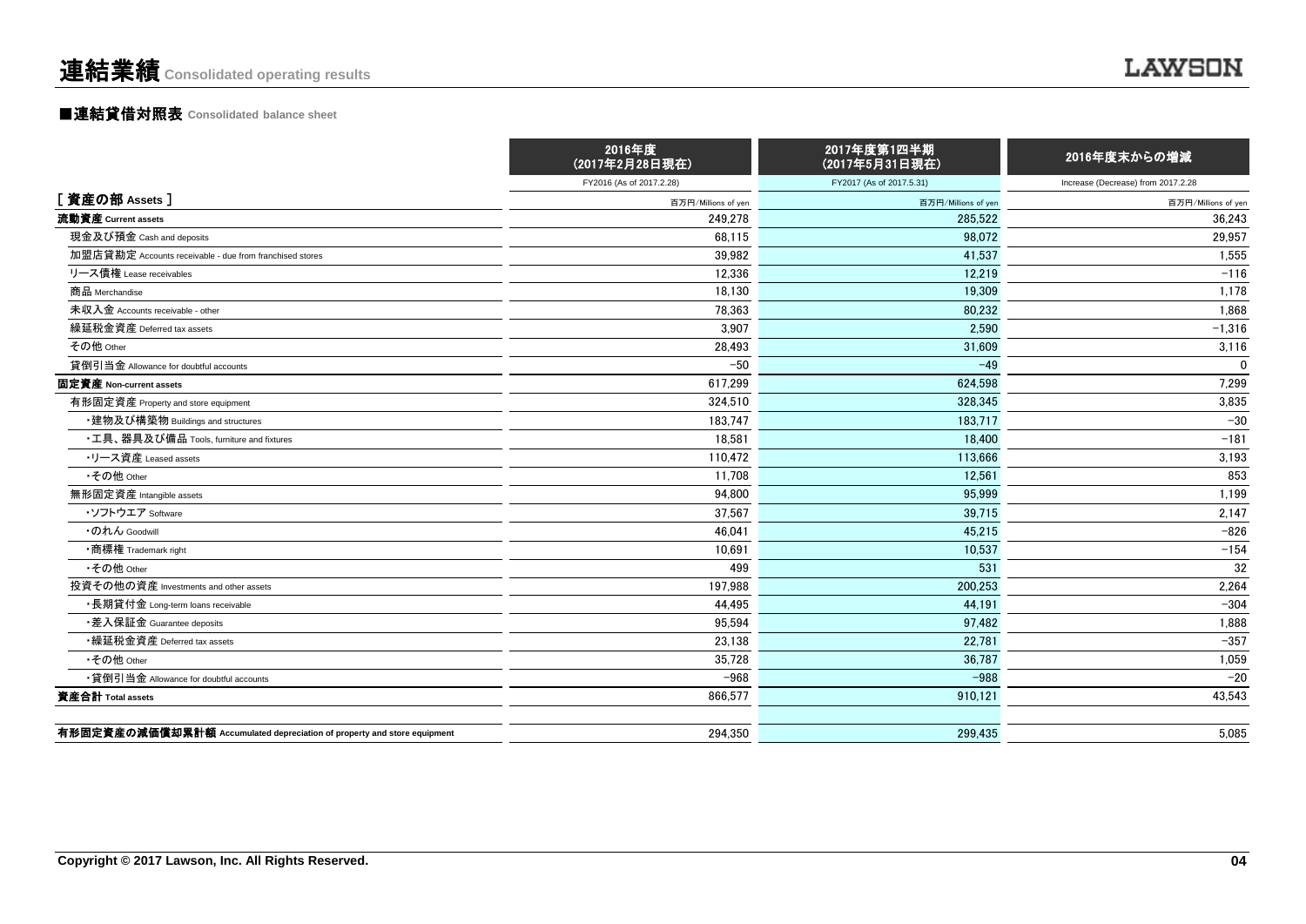# ■連結貸借対照表 **Consolidated balance sheet**

|                                                                         | 2016年度<br>(2017年2月28日現在) | 2017年度第1四半期<br>(2017年5月31日現在) | 2016年度末からの増減                       |
|-------------------------------------------------------------------------|--------------------------|-------------------------------|------------------------------------|
|                                                                         | FY2016 (As of 2017.2.28) | FY2017 (As of 2017.5.31)      | Increase (Decrease) from 2017.2.28 |
| [資産の部 Assets]                                                           | 百万円/Millions of yen      | 百万円/Millions of yer           | 百万円/Millions of yen                |
| 流動資産 Current assets                                                     | 249,278                  | 285,522                       | 36,243                             |
| 現金及び預金 Cash and deposits                                                | 68,115                   | 98,072                        | 29,957                             |
| 加盟店貸勘定 Accounts receivable - due from franchised stores                 | 39,982                   | 41.537                        | 1,555                              |
| リース債権 Lease receivables                                                 | 12,336                   | 12.219                        | $-116$                             |
| 商品 Merchandise                                                          | 18,130                   | 19,309                        | 1,178                              |
| 未収入金 Accounts receivable - other                                        | 78,363                   | 80.232                        | 1,868                              |
| 繰延税金資産 Deferred tax assets                                              | 3,907                    | 2.590                         | $-1,316$                           |
| その他 Other                                                               | 28,493                   | 31,609                        | 3,116                              |
| 貸倒引当金 Allowance for doubtful accounts                                   | $-50$                    | $-49$                         | $\Omega$                           |
| 固定資産 Non-current assets                                                 | 617.299                  | 624.598                       | 7,299                              |
| 有形固定資産 Property and store equipment                                     | 324.510                  | 328.345                       | 3,835                              |
| ・建物及び構築物 Buildings and structures                                       | 183,747                  | 183.717                       | $-30$                              |
| ・工具、器具及び備品 Tools, furniture and fixtures                                | 18,581                   | 18.400                        | $-181$                             |
| ・リース資産 Leased assets                                                    | 110.472                  | 113.666                       | 3,193                              |
| •その他 Other                                                              | 11,708                   | 12.561                        | 853                                |
| 無形固定資産 Intangible assets                                                | 94.800                   | 95.999                        | 1,199                              |
| ・ソフトウエア Software                                                        | 37,567                   | 39,715                        | 2,147                              |
| ・のれん Goodwill                                                           | 46,041                   | 45,215                        | $-826$                             |
| •商標権 Trademark right                                                    | 10,691                   | 10,537                        | $-154$                             |
| •その他 Other                                                              | 499                      | 531                           | 32                                 |
| 投資その他の資産 Investments and other assets                                   | 197,988                  | 200.253                       | 2,264                              |
| ・長期貸付金 Long-term loans receivable                                       | 44,495                   | 44,191                        | $-304$                             |
| ・差入保証金 Guarantee deposits                                               | 95,594                   | 97,482                        | 1,888                              |
| •繰延税金資産 Deferred tax assets                                             | 23,138                   | 22.781                        | $-357$                             |
| •その他 Other                                                              | 35,728                   | 36.787                        | 1,059                              |
| •貸倒引当金 Allowance for doubtful accounts                                  | $-968$                   | $-988$                        | $-20$                              |
| 資産合計 Total assets                                                       | 866,577                  | 910.121                       | 43,543                             |
| 有形固定資産の減価償却累計額 Accumulated depreciation of property and store equipment | 294.350                  | 299.435                       | 5.085                              |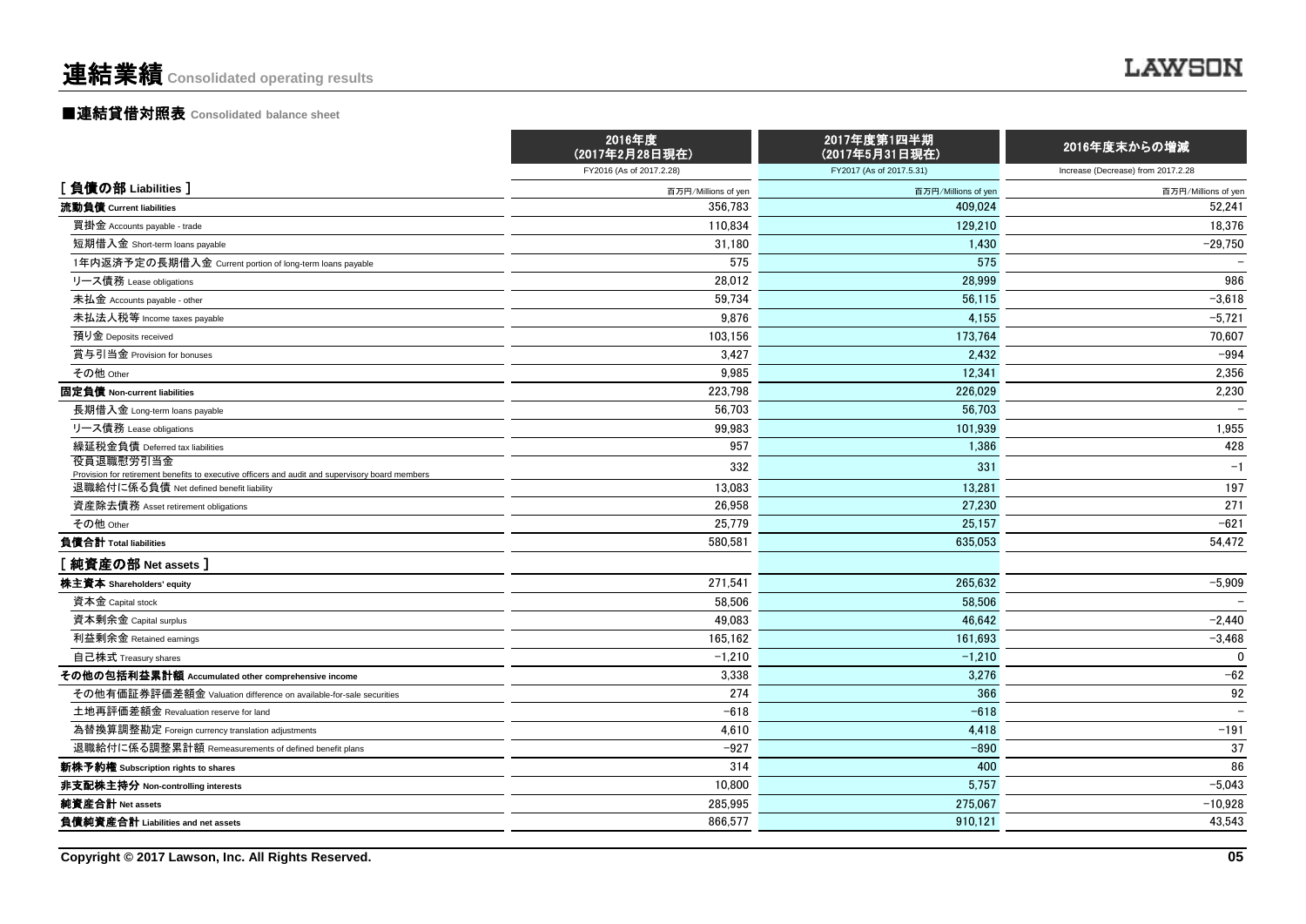# ■連結貸借対照表 **Consolidated balance sheet**

|                                                                                                                                            | 2016年度<br>(2017年2月28日現在) | 2017年度第1四半期<br>(2017年5月31日現在) | 2016年度末からの増減                       |  |
|--------------------------------------------------------------------------------------------------------------------------------------------|--------------------------|-------------------------------|------------------------------------|--|
|                                                                                                                                            | FY2016 (As of 2017.2.28) | FY2017 (As of 2017.5.31)      | Increase (Decrease) from 2017.2.28 |  |
| [負債の部 Liabilities]                                                                                                                         | 百万円/Millions of yen      | 百万円/Millions of yen           | 百万円/Millions of yen                |  |
| 流動負債 Current liabilities                                                                                                                   | 356,783                  | 409.024                       | 52,241                             |  |
| 買掛金 Accounts payable - trade                                                                                                               | 110,834                  | 129.210                       | 18,376                             |  |
| 短期借入金 Short-term loans payable                                                                                                             | 31,180                   | 1,430                         | $-29,750$                          |  |
| 1年内返済予定の長期借入金 Current portion of long-term loans payable                                                                                   | 575                      | 575                           |                                    |  |
| リース債務 Lease obligations                                                                                                                    | 28,012                   | 28,999                        | 986                                |  |
| 未払金 Accounts payable - other                                                                                                               | 59,734                   | 56,115                        | $-3,618$                           |  |
| 未払法人税等 Income taxes payable                                                                                                                | 9,876                    | 4,155                         | $-5,721$                           |  |
| 預り金 Deposits received                                                                                                                      | 103,156                  | 173,764                       | 70,607                             |  |
| 賞与引当金 Provision for bonuses                                                                                                                | 3.427                    | 2.432                         | $-994$                             |  |
| その他 Other                                                                                                                                  | 9,985                    | 12,341                        | 2,356                              |  |
| 固定負債 Non-current liabilities                                                                                                               | 223,798                  | 226,029                       | 2,230                              |  |
| 長期借入金 Long-term loans payable                                                                                                              | 56.703                   | 56.703                        |                                    |  |
| リース債務 Lease obligations                                                                                                                    | 99.983                   | 101.939                       | 1,955                              |  |
| 繰延税金負債 Deferred tax liabilities                                                                                                            | 957                      | 1,386                         | 428                                |  |
| 役員退職慰労引当金                                                                                                                                  | 332                      | 331                           | $-1$                               |  |
| Provision for retirement benefits to executive officers and audit and supervisory board members<br>退職給付に係る負債 Net defined benefit liability | 13.083                   | 13.281                        | 197                                |  |
| 資産除去債務 Asset retirement obligations                                                                                                        | 26.958                   | 27,230                        | 271                                |  |
| その他 Other                                                                                                                                  | 25,779                   | 25,157                        | $-621$                             |  |
| 負債合計 Total liabilities                                                                                                                     | 580,581                  | 635,053                       | 54,472                             |  |
| [ 純資産の部 Net assets ]                                                                                                                       |                          |                               |                                    |  |
| 株主資本 Shareholders' equity                                                                                                                  | 271,541                  | 265.632                       | $-5,909$                           |  |
| 資本金 Capital stock                                                                                                                          | 58,506                   | 58,506                        |                                    |  |
| 資本剰余金 Capital surplus                                                                                                                      | 49,083                   | 46,642                        | $-2,440$                           |  |
| 利益剰余金 Retained earnings                                                                                                                    | 165.162                  | 161.693                       | $-3,468$                           |  |
| 自己株式 Treasury shares                                                                                                                       | $-1,210$                 | $-1,210$                      | $\Omega$                           |  |
| その他の包括利益累計額 Accumulated other comprehensive income                                                                                         | 3,338                    | 3,276                         | $-62$                              |  |
| その他有価証券評価差額金 Valuation difference on available-for-sale securities                                                                         | 274                      | 366                           | 92                                 |  |
| 土地再評価差額金 Revaluation reserve for land                                                                                                      | $-618$                   | $-618$                        | $\overline{\phantom{0}}$           |  |
| 為替換算調整勘定 Foreign currency translation adjustments                                                                                          | 4,610                    | 4,418                         | $-191$                             |  |
| 退職給付に係る調整累計額 Remeasurements of defined benefit plans                                                                                       | $-927$                   | $-890$                        | 37                                 |  |
| 新株予約権 Subscription rights to shares                                                                                                        | 314                      | 400                           | 86                                 |  |
| 非支配株主持分 Non-controlling interests                                                                                                          | 10,800                   | 5.757                         | $-5,043$                           |  |
| 純資産合計 Net assets                                                                                                                           | 285,995                  | 275.067                       | $-10,928$                          |  |
| 負債純資産合計 Liabilities and net assets                                                                                                         | 866.577                  | 910.121                       | 43,543                             |  |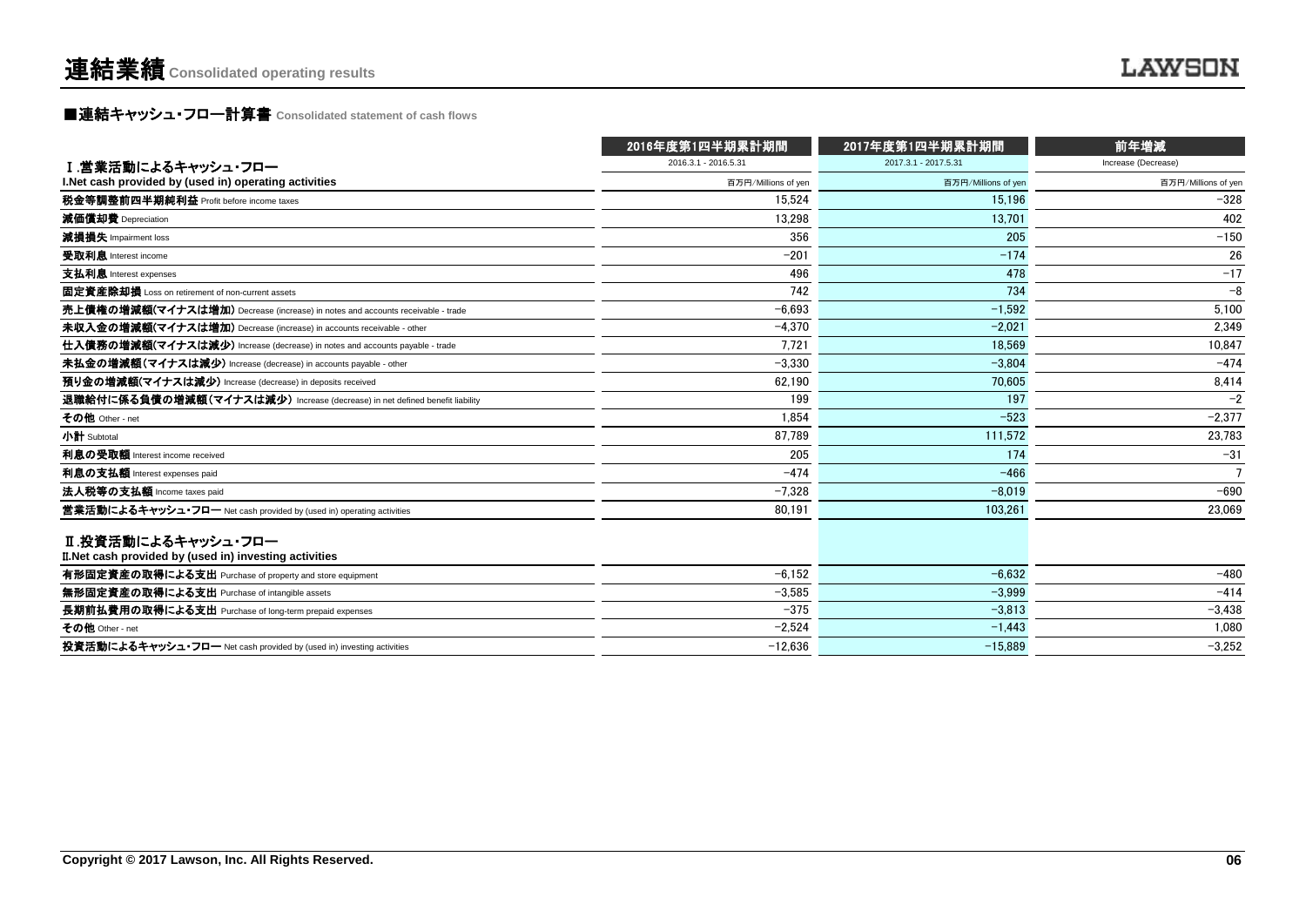**■連結キャッシュ・フロー計算書** Consolidated statement of cash flows

|                                                                                | 2016年度第1四半期累計期間      | 2017年度第1四半期累計期間      | 前年増減                |  |
|--------------------------------------------------------------------------------|----------------------|----------------------|---------------------|--|
| Ⅰ.営業活動によるキャッシュ・フロー                                                             | 2016.3.1 - 2016.5.31 | 2017.3.1 - 2017.5.31 | Increase (Decrease) |  |
| I. Net cash provided by (used in) operating activities                         | 百万円/Millions of yen  | 百万円/Millions of yen  | 百万円/Millions of yen |  |
| 税金等調整前四半期純利益 Profit before income taxes                                        | 15.524               | 15.196               | $-328$              |  |
| 減価償却費 Depreciation                                                             | 13.298               | 13.701               | 402                 |  |
| 減損損失 Impairment loss                                                           | 356                  | 205                  | $-150$              |  |
| 受取利息 Interest income                                                           | $-201$               | $-174$               | 26                  |  |
| 支払利息 Interest expenses                                                         | 496                  | 478                  | $-17$               |  |
| 固定資産除却損 Loss on retirement of non-current assets                               | 742                  | 734                  | $-8$                |  |
| 売上債権の増減額(マイナスは増加) Decrease (increase) in notes and accounts receivable - trade | $-6.693$             | $-1.592$             | 5.100               |  |
| 未収入金の増減額(マイナスは増加) Decrease (increase) in accounts receivable - other           | $-4.370$             | $-2.021$             | 2.349               |  |
| 仕入債務の増減額(マイナスは減少) Increase (decrease) in notes and accounts payable - trade    | 7.721                | 18.569               | 10.847              |  |
| 未払金の増減額(マイナスは減少) Increase (decrease) in accounts payable - other               | $-3.330$             | $-3.804$             | $-474$              |  |
| 預り金の増減額(マイナスは減少) Increase (decrease) in deposits received                      | 62.190               | 70.605               | 8,414               |  |
| 退職給付に係る負債の増減額(マイナスは減少) Increase (decrease) in net defined benefit liability    | 199                  | 197                  | $-2$                |  |
| その他 Other - net                                                                | 1.854                | $-523$               | $-2.377$            |  |
| 小計 Subtotal                                                                    | 87.789               | 111.572              | 23,783              |  |
| 利息の受取額 Interest income received                                                | 205                  | 174                  | $-31$               |  |
| 利息の支払額 Interest expenses paid                                                  | $-474$               | $-466$               |                     |  |
| 法人税等の支払額 Income taxes paid                                                     | $-7.328$             | $-8.019$             | $-690$              |  |
| 営業活動によるキャッシュ・フロー Net cash provided by (used in) operating activities           | 80,191               | 103.261              | 23,069              |  |
| Ⅱ.投資活動によるキャッシュ・フロー<br>II. Net cash provided by (used in) investing activities  |                      |                      |                     |  |
| 有形固定資産の取得による支出 Purchase of property and store equipment                        | $-6,152$             | $-6.632$             | $-480$              |  |
| 無形固定資産の取得による支出 Purchase of intangible assets                                   | $-3.585$             | $-3.999$             | $-414$              |  |
| 長期前払費用の取得による支出 Purchase of long-term prepaid expenses                          | $-375$               | $-3.813$             | $-3,438$            |  |
| その他 Other - net                                                                | $-2,524$             | $-1.443$             | 1.080               |  |
| 投資活動によるキャッシュ・フロー Net cash provided by (used in) investing activities           | $-12.636$            | $-15.889$            | $-3.252$            |  |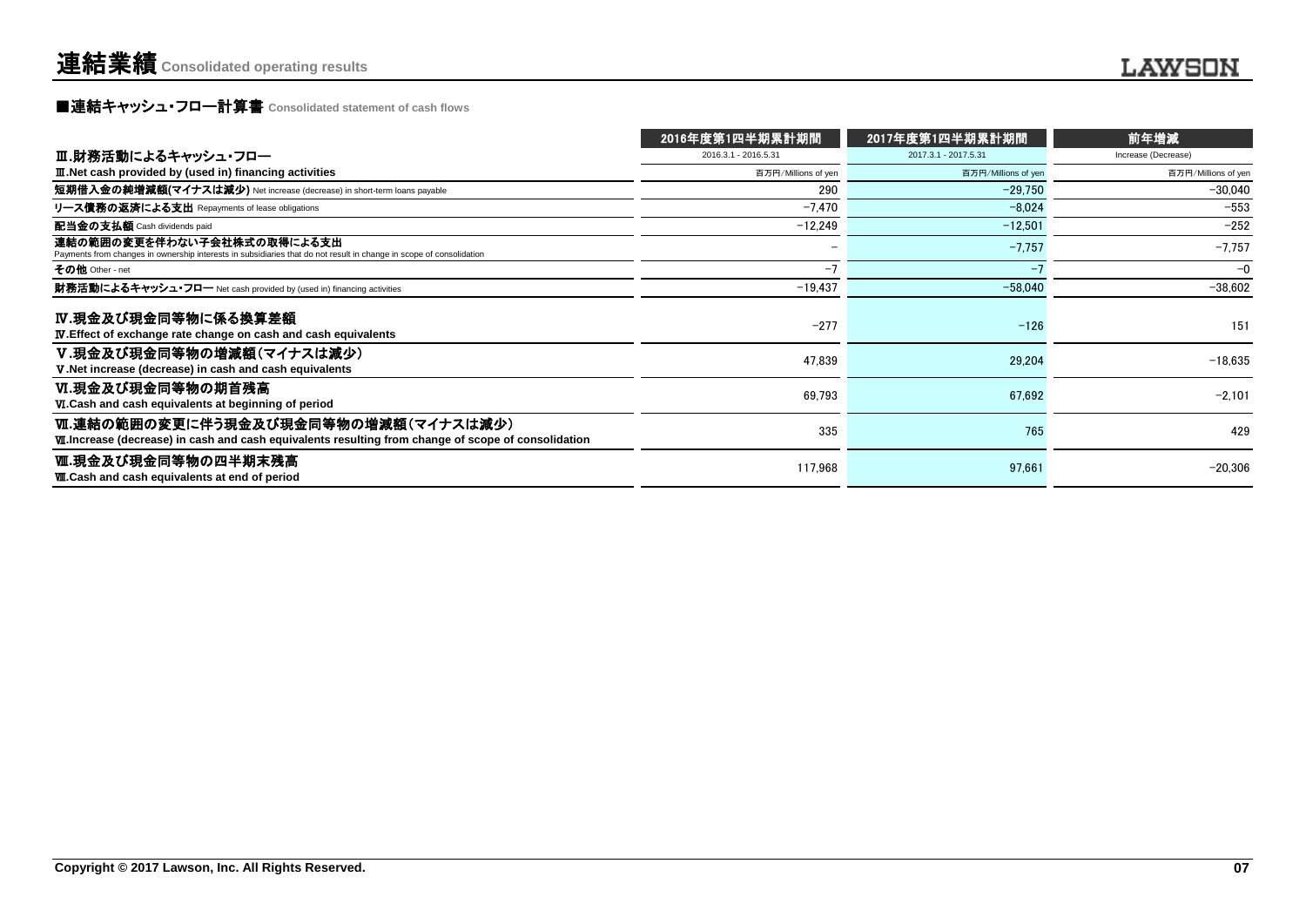# **■連結キャッシュ・フロー計算書** Consolidated statement of cash flows

|                                                                                                                                                     | 2016年度第1四半期累計期間          | 2017年度第1四半期累計期間      | 前年増減                |
|-----------------------------------------------------------------------------------------------------------------------------------------------------|--------------------------|----------------------|---------------------|
| Ⅲ.財務活動によるキャッシュ・フロー                                                                                                                                  | 2016.3.1 - 2016.5.31     | 2017.3.1 - 2017.5.31 | Increase (Decrease) |
| III. Net cash provided by (used in) financing activities                                                                                            | 百万円/Millions of yen      | 百万円/Millions of yen  | 百万円/Millions of yen |
| 短期借入金の純増減額(マイナスは減少) Net increase (decrease) in short-term loans payable                                                                             | 290                      | $-29,750$            | $-30,040$           |
| リース債務の返済による支出 Repayments of lease obligations                                                                                                       | $-7.470$                 | $-8.024$             | $-553$              |
| 配当金の支払額 Cash dividends paid                                                                                                                         | $-12,249$                | $-12.501$            | $-252$              |
| 連結の範囲の変更を伴わない子会社株式の取得による支出<br>Payments from changes in ownership interests in subsidiaries that do not result in change in scope of consolidation   | $\overline{\phantom{a}}$ | $-7,757$             | $-7,757$            |
| その他 Other - net                                                                                                                                     | $-7$                     | -7                   | $-0$                |
| 財務活動によるキャッシュ・フロー Net cash provided by (used in) financing activities                                                                                | $-19,437$                | $-58,040$            | $-38,602$           |
| IV.現金及び現金同等物に係る換算差額<br><b>IV.</b> Effect of exchange rate change on cash and cash equivalents                                                       | $-277$                   | $-126$               | 151                 |
| V.現金及び現金同等物の増減額(マイナスは減少)<br>V. Net increase (decrease) in cash and cash equivalents                                                                 | 47,839                   | 29,204               | $-18.635$           |
| Ⅵ.現金及び現金同等物の期首残高<br>VI.Cash and cash equivalents at beginning of period                                                                             | 69.793                   | 67.692               | $-2.101$            |
| Ⅵ.連結の範囲の変更に伴う現金及び現金同等物の増減額(マイナスは減少)<br><b>VII.</b> Increase (decrease) in cash and cash equivalents resulting from change of scope of consolidation | 335                      | 765                  | 429                 |
| Ⅷ.現金及び現金同等物の四半期末残高<br><b>WI.Cash and cash equivalents at end of period</b>                                                                          | 117,968                  | 97,661               | $-20,306$           |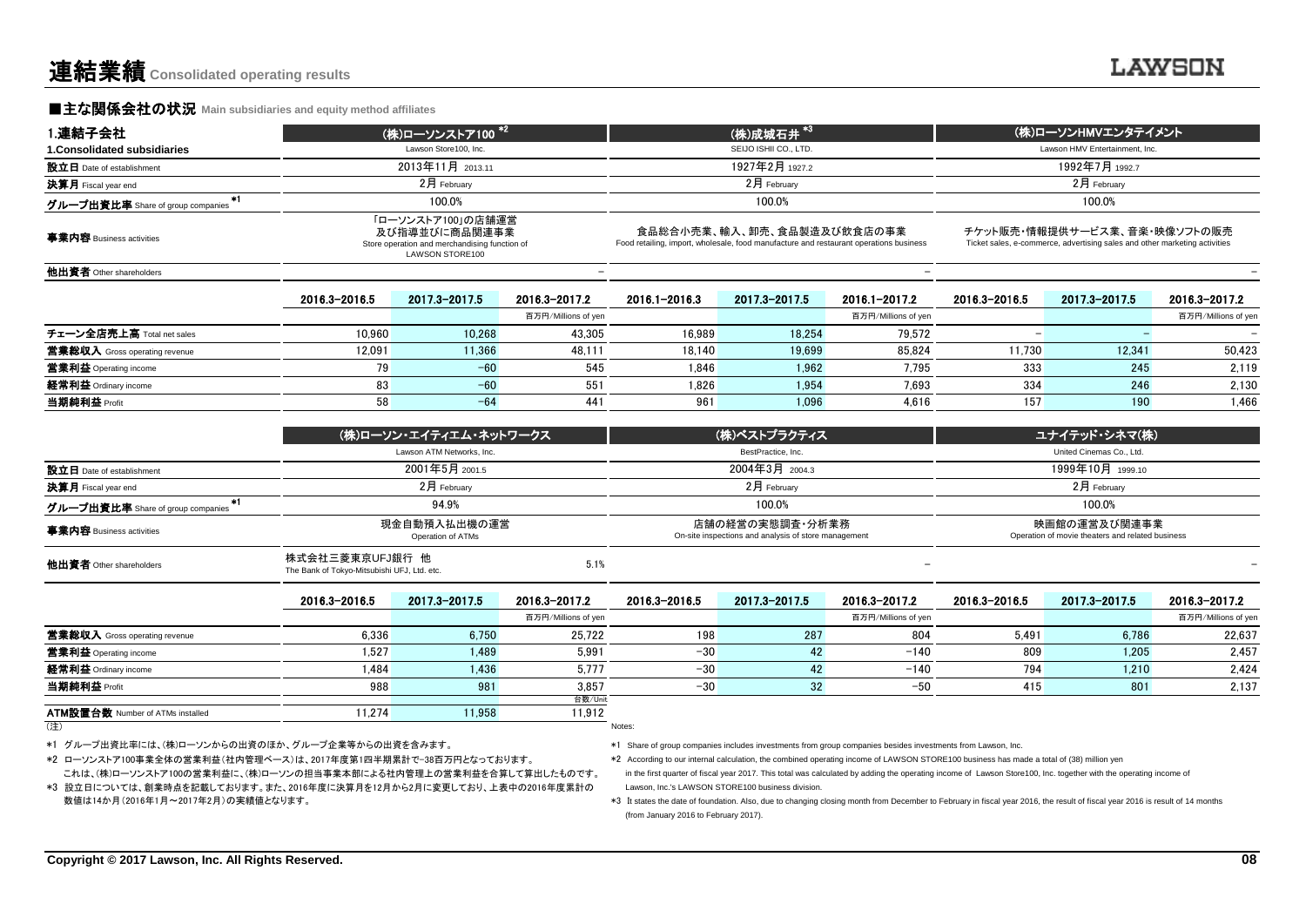#### **■主な関係会社の状況 Main subsidiaries and equity method affiliates**

| 1.連結子会社                                   |               | (株)ローソンストア100 <sup>*2</sup>                                                                                                                                                                                                                                                                                                                         |                     | (株)成城石井 <sup>*3)</sup> |                |                     | (株)ローソンHMVエンタテイメント             |               |                     |
|-------------------------------------------|---------------|-----------------------------------------------------------------------------------------------------------------------------------------------------------------------------------------------------------------------------------------------------------------------------------------------------------------------------------------------------|---------------------|------------------------|----------------|---------------------|--------------------------------|---------------|---------------------|
| 1. Consolidated subsidiaries              |               | Lawson Store100, Inc.                                                                                                                                                                                                                                                                                                                               |                     | SEIJO ISHII CO., LTD.  |                |                     | Lawson HMV Entertainment. Inc. |               |                     |
| 設立日 Date of establishment                 |               | 2013年11月 2013.11                                                                                                                                                                                                                                                                                                                                    |                     |                        | 1927年2月 1927.2 |                     |                                |               |                     |
| 決算月 Fiscal year end                       |               | 2月 February                                                                                                                                                                                                                                                                                                                                         |                     |                        | $2$ 月 February |                     | 2月 February                    |               |                     |
| $+1$<br>グループ出資比率 Share of group companies |               | 100.0%                                                                                                                                                                                                                                                                                                                                              |                     |                        | 100.0%         | 100.0%              |                                |               |                     |
| 事業内容 Business activities                  |               | 「ローソンストア100」の店舗運営<br>食品総合小売業、輸入、卸売、食品製造及び飲食店の事業<br>チケット販売・情報提供サービス業、音楽・映像ソフトの販売<br>及び指導並びに商品関連事業<br>Ticket sales, e-commerce, advertising sales and other marketing activities<br>Food retailing, import, wholesale, food manufacture and restaurant operations business<br>Store operation and merchandising function of<br><b>LAWSON STORE100</b> |                     |                        |                |                     |                                |               |                     |
| 他出資者 Other shareholders                   |               |                                                                                                                                                                                                                                                                                                                                                     |                     |                        |                |                     |                                |               |                     |
|                                           | 2016.3-2016.5 | 2017.3-2017.5                                                                                                                                                                                                                                                                                                                                       | 2016.3-2017.2       | 2016.1-2016.3          | 2017.3-2017.5  | 2016.1-2017.2       | 2016.3-2016.5                  | 2017.3-2017.5 | 2016.3-2017.2       |
|                                           |               |                                                                                                                                                                                                                                                                                                                                                     | 百万円/Millions of yen |                        |                | 百万円/Millions of yen |                                |               | 百万円/Millions of yen |
| チェーン全店売上高 Total net sales                 | 10.960        | 10.268                                                                                                                                                                                                                                                                                                                                              | 43,305              | 16.989                 | 18.254         | 79,572              |                                |               | $\qquad \qquad =$   |
| 営業総収入 Gross operating revenue             | 12,091        | 11.366                                                                                                                                                                                                                                                                                                                                              | 48,111              | 18.140                 | 19.699         | 85.824              | 11.730                         | 12.341        | 50,423              |
| <b>営業利益</b> Operating income              | 79            | $-60$                                                                                                                                                                                                                                                                                                                                               | 545                 | 1.846                  | 1.962          | 7.795               | 333                            | 245           | 2.119               |
| 経常利益 Ordinary income                      | 83            | $-60$                                                                                                                                                                                                                                                                                                                                               | 551                 | 1.826                  | 1.954          | 7.693               | 334                            | 246           | 2.130               |
| 当期純利益 Profit                              | 58            | $-64$                                                                                                                                                                                                                                                                                                                                               | 441                 | 961                    | 1,096          | 4,616               | 157                            | 190           | 1,466               |
|                                           |               |                                                                                                                                                                                                                                                                                                                                                     |                     |                        |                |                     |                                |               |                     |

|                                   | (株)ローソン・エイティエム・ネットワークス                                                 | (株)ベストプラクティス                                                            | ユナイテッド・シネマ(株)                                                    |
|-----------------------------------|------------------------------------------------------------------------|-------------------------------------------------------------------------|------------------------------------------------------------------|
|                                   | Lawson ATM Networks, Inc.                                              | BestPractice, Inc.                                                      | United Cinemas Co., Ltd.                                         |
| 設立日 Date of establishment         | 2001年5月 2001.5                                                         | 2004年3月 2004.3                                                          | 1999年10月 1999.10                                                 |
| <b>決算月</b> Fiscal year end        | $2月$ February                                                          | $2月$ February                                                           | $2月$ February                                                    |
| グループ出資比率 Share of group companies | 94.9%                                                                  | 100.0%                                                                  | 100.0%                                                           |
| 事業内容 Business activities          | 現金自動預入払出機の運営<br>Operation of ATMs                                      | 店舗の経営の実態調査・分析業務<br>On-site inspections and analysis of store management | 映画館の運営及び関連事業<br>Operation of movie theaters and related business |
| 他出資者 Other shareholders           | 株式会社三菱東京UFJ銀行 他<br>5.1%<br>The Bank of Tokyo-Mitsubishi UFJ, Ltd. etc. |                                                                         | $-$                                                              |

|                                         | 2016.3-2016.5 | 2017.3-2017.5 | 2016.3-2017.2       | 2016.3-2016.5 | 2017.3-2017.5 | 2016.3-2017.2       | 2016.3-2016.5 | 2017.3-2017.5 | 2016.3-2017.2       |
|-----------------------------------------|---------------|---------------|---------------------|---------------|---------------|---------------------|---------------|---------------|---------------------|
|                                         |               |               | 百万円/Millions of yen |               |               | 百万円/Millions of yen |               |               | 百万円/Millions of yen |
| <b>営業総収入</b> Gross operating revenue    | 6.336         | 6.750         | 25.722              | 198           | 287           | 804                 | 5.491         | 6,786         | 22.637              |
| <b>営業利益</b> Operating income            | 1.527         | 1,489         | 5.991               | $-30$         |               | $-140$              | 809           | 1.205         | 2,457               |
| 経常利益 Ordinary income                    | 1.484         | 1.436         | 5.777               | $-30$         |               | $-140$              | 794           | 1.210         | 2.424               |
| 当期純利益 Profit                            | 988           | 981           | 3.857               | $-30$         | 32            | $-50$               | 415           | 801           | 2,137               |
|                                         |               |               | 台数/Unit             |               |               |                     |               |               |                     |
| <b>ATM設置台数 Number of ATMs installed</b> | 11,274        | 11.958        | 11.912              |               |               |                     |               |               |                     |

(注) Notes:

\*1 グループ出資比率には、(株)ローソンからの出資のほか、グループ企業等からの出資を含みます。

\*2 ローソンストア100事業全体の営業利益(社内管理ベース)は、2017年度第1四半期累計で-38百万円となっております。

\*1 Share of group companies includes investments from group companies besides investments from Lawson, Inc.

\*2 According to our internal calculation, the combined operating income of LAWSON STORE100 business has made a total of (38) million yen

 in the first quarter of fiscal year 2017. This total was calculated by adding the operating income of Lawson Store100, Inc. together with the operating income of Lawson, Inc.'s LAWSON STORE100 business division.

これは、(株)ローソンストア100の営業利益に、(株)ローソンの担当事業本部による社内管理上の営業利益を合算して算出したものです。 \*3 設立日については、創業時点を記載しております。また、2016年度に決算月を12月から2月に変更しており、上表中の2016年度累計の

数値は14か月(2016年1月~2017年2月)の実績値となります。 \*3 htstates the date of foundation. Also, due to changing closing month from December to February in fiscal year 2016, the result of fiscal year 2016 is result of 14 months (from January 2016 to February 2017).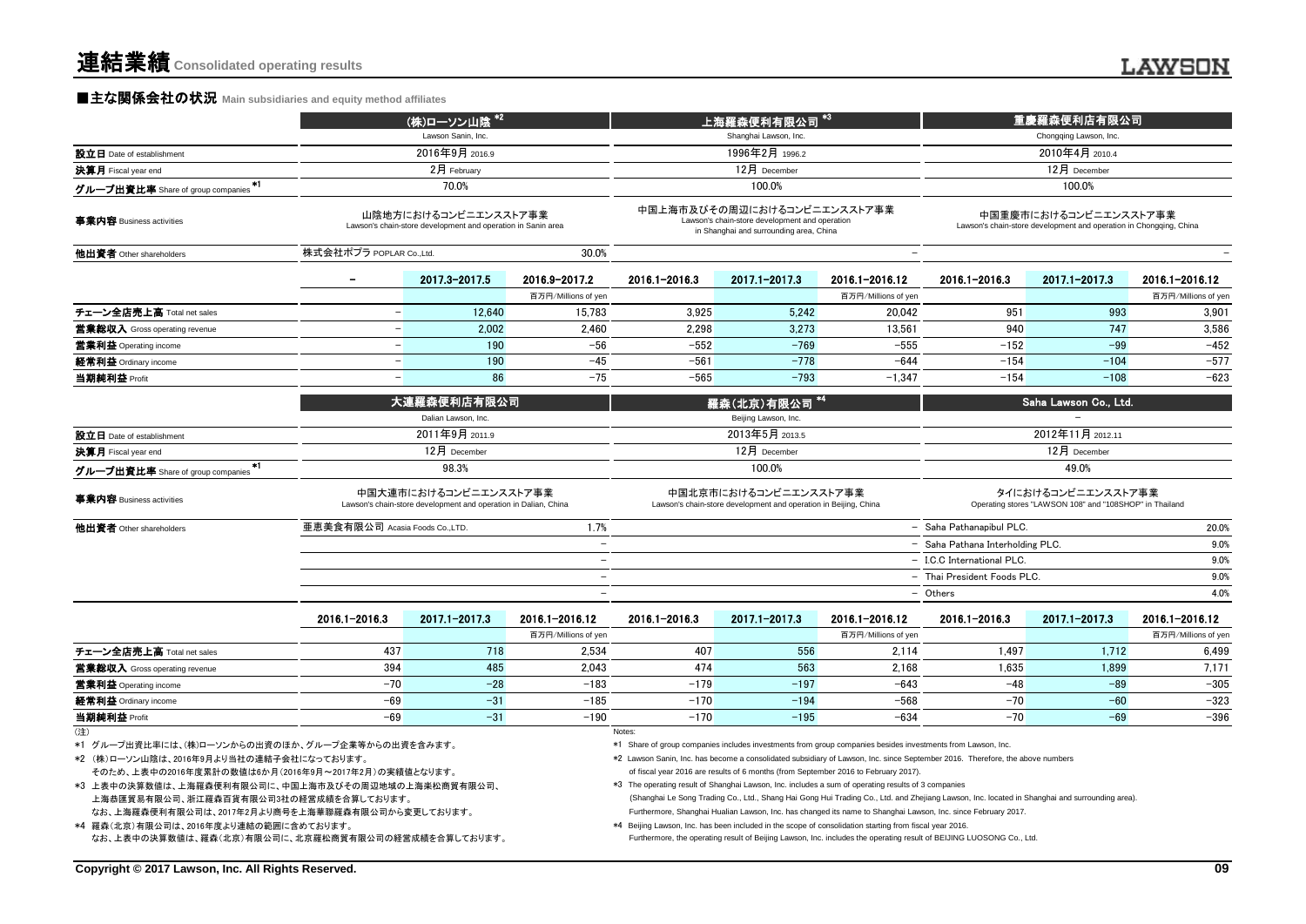## **■主な関係会社の状況** Main subsidiaries and equity method affiliates

|                                                                                                                                                                                                                                                                                                                                                         |                                                                                          | (株)ローソン山陰 *2                                                                         |                          |                                                                                                                                                                                                                                                                                                                                         | 上海羅森便利有限公司                                                                                                               |                     |                                                                                                                                                                                                                                                                                                                                                                                                  | 重慶羅森便利店有限公司                                                                                 |                     |  |
|---------------------------------------------------------------------------------------------------------------------------------------------------------------------------------------------------------------------------------------------------------------------------------------------------------------------------------------------------------|------------------------------------------------------------------------------------------|--------------------------------------------------------------------------------------|--------------------------|-----------------------------------------------------------------------------------------------------------------------------------------------------------------------------------------------------------------------------------------------------------------------------------------------------------------------------------------|--------------------------------------------------------------------------------------------------------------------------|---------------------|--------------------------------------------------------------------------------------------------------------------------------------------------------------------------------------------------------------------------------------------------------------------------------------------------------------------------------------------------------------------------------------------------|---------------------------------------------------------------------------------------------|---------------------|--|
|                                                                                                                                                                                                                                                                                                                                                         |                                                                                          | Lawson Sanin, Inc.                                                                   |                          | Shanghai Lawson, Inc.                                                                                                                                                                                                                                                                                                                   |                                                                                                                          |                     | Chongqing Lawson, Inc.                                                                                                                                                                                                                                                                                                                                                                           |                                                                                             |                     |  |
| 設立日 Date of establishment                                                                                                                                                                                                                                                                                                                               |                                                                                          | 2016年9月 2016.9                                                                       |                          |                                                                                                                                                                                                                                                                                                                                         | 1996年2月 1996.2                                                                                                           |                     |                                                                                                                                                                                                                                                                                                                                                                                                  | 2010年4月 2010.4                                                                              |                     |  |
| 決算月 Fiscal year end                                                                                                                                                                                                                                                                                                                                     |                                                                                          | 2月 February                                                                          |                          | 12月 December                                                                                                                                                                                                                                                                                                                            |                                                                                                                          |                     | 12月 December                                                                                                                                                                                                                                                                                                                                                                                     |                                                                                             |                     |  |
| グループ出資比率 Share of group companies                                                                                                                                                                                                                                                                                                                       |                                                                                          | 70.0%                                                                                |                          | 100.0%                                                                                                                                                                                                                                                                                                                                  |                                                                                                                          |                     |                                                                                                                                                                                                                                                                                                                                                                                                  | 100.0%                                                                                      |                     |  |
| 事業内容 Business activities                                                                                                                                                                                                                                                                                                                                |                                                                                          | 山陰地方におけるコンビニエンスストア事業<br>Lawson's chain-store development and operation in Sanin area |                          |                                                                                                                                                                                                                                                                                                                                         | 中国上海市及びその周辺におけるコンビニエンスストア事業<br>Lawson's chain-store development and operation<br>in Shanghai and surrounding area, China |                     |                                                                                                                                                                                                                                                                                                                                                                                                  | 中国重慶市におけるコンビニエンスストア事業<br>Lawson's chain-store development and operation in Chongqing, China |                     |  |
| 他出資者 Other shareholders                                                                                                                                                                                                                                                                                                                                 | 株式会社ポプラ POPLAR Co.,Ltd.                                                                  |                                                                                      | 30.0%                    |                                                                                                                                                                                                                                                                                                                                         |                                                                                                                          |                     |                                                                                                                                                                                                                                                                                                                                                                                                  |                                                                                             |                     |  |
|                                                                                                                                                                                                                                                                                                                                                         |                                                                                          | 2017.3-2017.5                                                                        | 2016.9-2017.2            | 2016.1-2016.3                                                                                                                                                                                                                                                                                                                           | 2017.1-2017.3                                                                                                            | 2016.1-2016.12      | 2016.1-2016.3                                                                                                                                                                                                                                                                                                                                                                                    | 2017.1-2017.3                                                                               | 2016.1-2016.12      |  |
| チェーン全店売上高 Total net sales                                                                                                                                                                                                                                                                                                                               |                                                                                          | 12.640                                                                               | 百万円/Millions of yen      | 3.925                                                                                                                                                                                                                                                                                                                                   | 5.242                                                                                                                    | 百万円/Millions of yen |                                                                                                                                                                                                                                                                                                                                                                                                  | 993                                                                                         | 百万円/Millions of yen |  |
|                                                                                                                                                                                                                                                                                                                                                         | $\overline{\phantom{a}}$                                                                 |                                                                                      | 15,783                   |                                                                                                                                                                                                                                                                                                                                         |                                                                                                                          | 20,042              | 951                                                                                                                                                                                                                                                                                                                                                                                              |                                                                                             | 3,901               |  |
| <b>営業総収入</b> Gross operating revenue                                                                                                                                                                                                                                                                                                                    |                                                                                          | 2.002                                                                                | 2.460                    | 2.298                                                                                                                                                                                                                                                                                                                                   | 3.273                                                                                                                    | 13.561              | 940                                                                                                                                                                                                                                                                                                                                                                                              | 747                                                                                         | 3,586               |  |
| 営業利益 Operating income                                                                                                                                                                                                                                                                                                                                   | $\overline{\phantom{0}}$                                                                 | 190                                                                                  | $-56$                    | $-552$                                                                                                                                                                                                                                                                                                                                  | $-769$                                                                                                                   | $-555$              | $-152$                                                                                                                                                                                                                                                                                                                                                                                           | $-99$                                                                                       | $-452$              |  |
| 経常利益 Ordinary income                                                                                                                                                                                                                                                                                                                                    | $\equiv$                                                                                 | 190                                                                                  | $-45$                    | $-561$                                                                                                                                                                                                                                                                                                                                  | $-778$                                                                                                                   | $-644$              | $-154$                                                                                                                                                                                                                                                                                                                                                                                           | $-104$                                                                                      | $-577$              |  |
| 当期純利益 Profit                                                                                                                                                                                                                                                                                                                                            |                                                                                          | 86                                                                                   | $-75$                    | $-565$                                                                                                                                                                                                                                                                                                                                  | $-793$                                                                                                                   | $-1.347$            | $-154$                                                                                                                                                                                                                                                                                                                                                                                           | $-108$                                                                                      | $-623$              |  |
|                                                                                                                                                                                                                                                                                                                                                         |                                                                                          | 大連羅森便利店有限公司<br>Dalian Lawson, Inc.                                                   |                          | 羅森(北京)有限公司<br>Beijing Lawson, Inc.                                                                                                                                                                                                                                                                                                      |                                                                                                                          |                     | Saha Lawson Co., Ltd.                                                                                                                                                                                                                                                                                                                                                                            |                                                                                             |                     |  |
| 設立日 Date of establishment                                                                                                                                                                                                                                                                                                                               |                                                                                          | 2011年9月 2011.9                                                                       |                          | 2013年5月 2013.5                                                                                                                                                                                                                                                                                                                          |                                                                                                                          |                     |                                                                                                                                                                                                                                                                                                                                                                                                  | 2012年11月 2012.11                                                                            |                     |  |
| 決算月 Fiscal year end                                                                                                                                                                                                                                                                                                                                     |                                                                                          | 12月 December                                                                         |                          |                                                                                                                                                                                                                                                                                                                                         | 12月 December                                                                                                             |                     | 12月 December                                                                                                                                                                                                                                                                                                                                                                                     |                                                                                             |                     |  |
| $\ast$ (                                                                                                                                                                                                                                                                                                                                                |                                                                                          | 98.3%                                                                                |                          |                                                                                                                                                                                                                                                                                                                                         | 100.0%                                                                                                                   |                     |                                                                                                                                                                                                                                                                                                                                                                                                  | 49.0%                                                                                       |                     |  |
| グループ出資比率 Share of group companies<br>事業内容 Business activities                                                                                                                                                                                                                                                                                           | 中国大連市におけるコンビニエンスストア事業<br>Lawson's chain-store development and operation in Dalian, China |                                                                                      |                          |                                                                                                                                                                                                                                                                                                                                         | 中国北京市におけるコンビニエンスストア事業<br>Lawson's chain-store development and operation in Beijing, China                                |                     |                                                                                                                                                                                                                                                                                                                                                                                                  | タイにおけるコンビニエンスストア事業<br>Operating stores "LAWSON 108" and "108SHOP" in Thailand               |                     |  |
| 他出資者 Other shareholders                                                                                                                                                                                                                                                                                                                                 | 亜恵美食有限公司 Acasia Foods Co.,LTD.                                                           |                                                                                      | 1.7%                     |                                                                                                                                                                                                                                                                                                                                         |                                                                                                                          |                     | - Saha Pathanapibul PLC.<br>20.0%                                                                                                                                                                                                                                                                                                                                                                |                                                                                             |                     |  |
|                                                                                                                                                                                                                                                                                                                                                         |                                                                                          |                                                                                      | $\overline{\phantom{a}}$ |                                                                                                                                                                                                                                                                                                                                         |                                                                                                                          |                     | 9.0%<br>- Saha Pathana Interholding PLC.                                                                                                                                                                                                                                                                                                                                                         |                                                                                             |                     |  |
|                                                                                                                                                                                                                                                                                                                                                         |                                                                                          |                                                                                      |                          |                                                                                                                                                                                                                                                                                                                                         |                                                                                                                          |                     | - I.C.C International PLC                                                                                                                                                                                                                                                                                                                                                                        |                                                                                             | 9.0%                |  |
|                                                                                                                                                                                                                                                                                                                                                         |                                                                                          |                                                                                      |                          |                                                                                                                                                                                                                                                                                                                                         |                                                                                                                          |                     | - Thai President Foods PLC.                                                                                                                                                                                                                                                                                                                                                                      |                                                                                             | 9.0%                |  |
|                                                                                                                                                                                                                                                                                                                                                         |                                                                                          |                                                                                      | $\overline{\phantom{a}}$ |                                                                                                                                                                                                                                                                                                                                         |                                                                                                                          |                     | - Others                                                                                                                                                                                                                                                                                                                                                                                         |                                                                                             | 4.0%                |  |
|                                                                                                                                                                                                                                                                                                                                                         | 2016.1-2016.3                                                                            | 2017.1-2017.3                                                                        | 2016.1-2016.12           | 2016.1-2016.3                                                                                                                                                                                                                                                                                                                           | 2017.1-2017.3                                                                                                            | 2016.1-2016.12      | 2016.1-2016.3                                                                                                                                                                                                                                                                                                                                                                                    | 2017.1-2017.3                                                                               | 2016.1-2016.12      |  |
|                                                                                                                                                                                                                                                                                                                                                         |                                                                                          |                                                                                      | 百万円/Millions of yen      |                                                                                                                                                                                                                                                                                                                                         |                                                                                                                          | 百万円/Millions of yen |                                                                                                                                                                                                                                                                                                                                                                                                  |                                                                                             | 百万円/Millions of yen |  |
| チェーン全店売上高 Total net sales                                                                                                                                                                                                                                                                                                                               | 437                                                                                      | 718                                                                                  | 2,534                    | 407                                                                                                                                                                                                                                                                                                                                     | 556                                                                                                                      | 2,114               | 1,497                                                                                                                                                                                                                                                                                                                                                                                            | 1,712                                                                                       | 6,499               |  |
| 営業総収入 Gross operating revenue                                                                                                                                                                                                                                                                                                                           | 394                                                                                      | 485                                                                                  | 2.043                    | 474                                                                                                                                                                                                                                                                                                                                     | 563                                                                                                                      | 2.168               | 1.635                                                                                                                                                                                                                                                                                                                                                                                            | 1.899                                                                                       | 7.171               |  |
| 営業利益 Operating income                                                                                                                                                                                                                                                                                                                                   | $-70$                                                                                    | $-28$                                                                                | $-183$                   | $-179$                                                                                                                                                                                                                                                                                                                                  | $-197$                                                                                                                   | $-643$              | $-48$                                                                                                                                                                                                                                                                                                                                                                                            | $-89$                                                                                       | $-305$              |  |
| 経常利益 Ordinary income                                                                                                                                                                                                                                                                                                                                    | $-69$                                                                                    | $-31$                                                                                | $-185$                   | $-170$                                                                                                                                                                                                                                                                                                                                  | $-194$                                                                                                                   | $-568$              | $-70$                                                                                                                                                                                                                                                                                                                                                                                            | $-60$                                                                                       | $-323$              |  |
| 当期純利益 Profit                                                                                                                                                                                                                                                                                                                                            | $-69$                                                                                    | $-31$                                                                                | $-190$                   | $-170$                                                                                                                                                                                                                                                                                                                                  | $-195$                                                                                                                   | $-634$              | $-70$                                                                                                                                                                                                                                                                                                                                                                                            | $-69$                                                                                       | $-396$              |  |
| (注)<br>*1 グループ出資比率には、(株)ローソンからの出資のほか、グループ企業等からの出資を含みます。<br>*2 (株)ローソン山陰は、2016年9月より当社の連結子会社になっております。<br>そのため、上表中の2016年度累計の数値は6か月(2016年9月~2017年2月)の実績値となります。<br>*3 上表中の決算数値は、上海羅森便利有限公司に、中国上海市及びその周辺地域の上海楽松商貿有限公司、<br>上海恭匯貿易有限公司、浙江羅森百貨有限公司3社の経営成績を合算しております。<br>なお、上海羅森便利有限公司は、2017年2月より商号を上海華聯羅森有限公司から変更しております。<br>*4 羅森(北京)有限公司は、2016年度より連結の範囲に含めております。 |                                                                                          |                                                                                      |                          | Notes:<br>*1 Share of group companies includes investments from group companies besides investments from Lawson, Inc.<br>*3 The operating result of Shanghai Lawson, Inc. includes a sum of operating results of 3 companies<br>*4 Beijing Lawson, Inc. has been included in the scope of consolidation starting from fiscal year 2016. | of fiscal year 2016 are results of 6 months (from September 2016 to February 2017).                                      |                     | *2 Lawson Sanin, Inc. has become a consolidated subsidiary of Lawson, Inc. since September 2016. Therefore, the above numbers<br>(Shanghai Le Song Trading Co., Ltd., Shang Hai Gong Hui Trading Co., Ltd. and Zhejiang Lawson, Inc. located in Shanghai and surrounding area).<br>Furthermore, Shanghai Hualian Lawson, Inc. has changed its name to Shanghai Lawson, Inc. since February 2017. |                                                                                             |                     |  |
| なお、上表中の決算数値は、羅森(北京)有限公司に、北京羅松商貿有限公司の経営成績を合算しております。                                                                                                                                                                                                                                                                                                      |                                                                                          |                                                                                      |                          |                                                                                                                                                                                                                                                                                                                                         |                                                                                                                          |                     | Furthermore, the operating result of Beijing Lawson, Inc. includes the operating result of BEIJING LUOSONG Co., Ltd.                                                                                                                                                                                                                                                                             |                                                                                             |                     |  |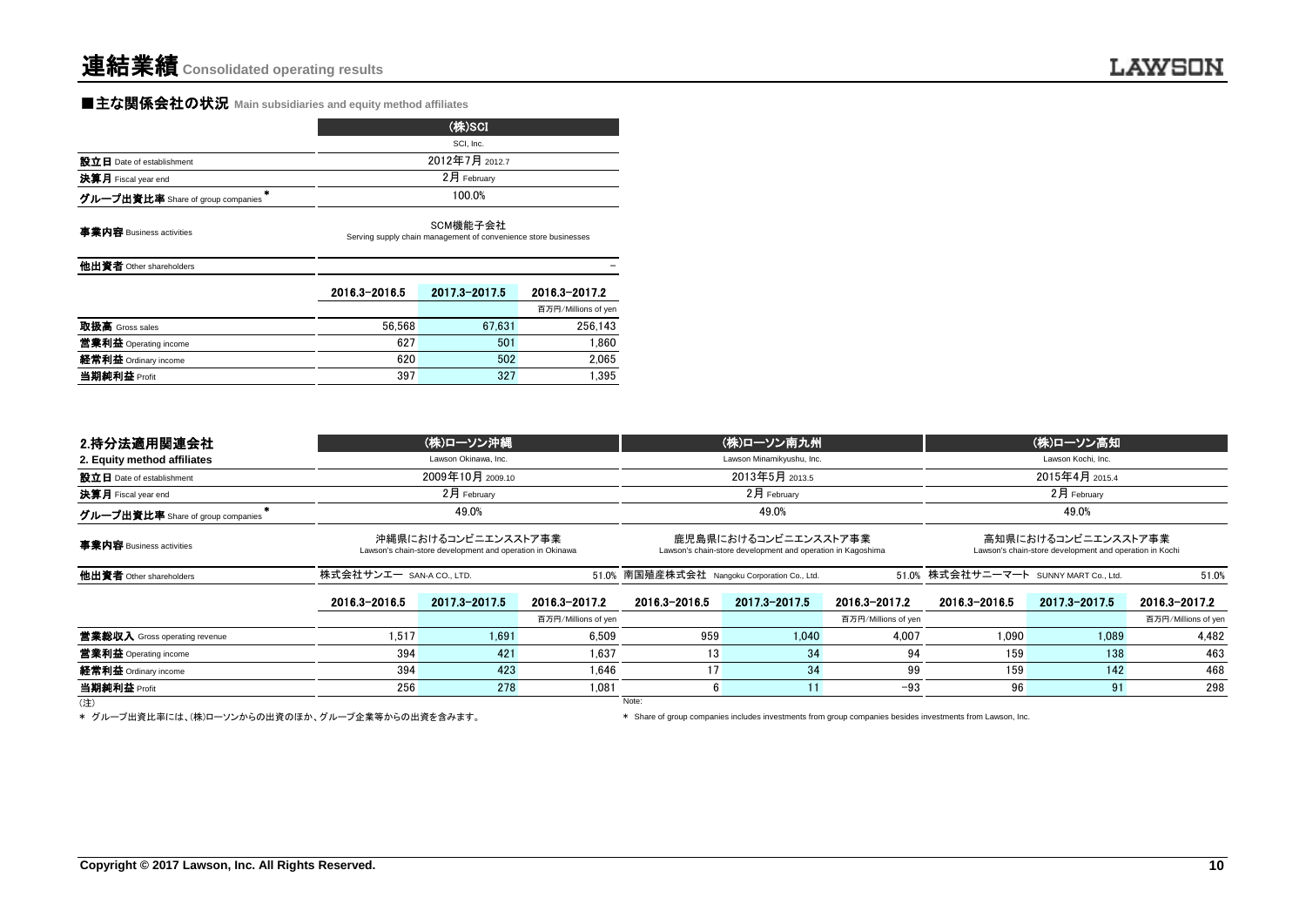#### **■主な関係会社の状況** Main subsidiaries and equity method affiliates

|                                                | (株)SCI                                                                      |                |                     |  |  |  |  |
|------------------------------------------------|-----------------------------------------------------------------------------|----------------|---------------------|--|--|--|--|
|                                                |                                                                             | SCI, Inc.      |                     |  |  |  |  |
| 設立日 Date of establishment                      |                                                                             | 2012年7月 2012.7 |                     |  |  |  |  |
| 決算月 Fiscal year end                            |                                                                             | 2月 February    |                     |  |  |  |  |
| $\bullet$<br>グループ出資比率 Share of group companies |                                                                             | 100.0%         |                     |  |  |  |  |
| 事業内容 Business activities                       | SCM機能子会社<br>Serving supply chain management of convenience store businesses |                |                     |  |  |  |  |
| 他出資者 Other shareholders                        |                                                                             |                |                     |  |  |  |  |
|                                                | 2016.3-2016.5                                                               | 2017.3-2017.5  | 2016.3-2017.2       |  |  |  |  |
|                                                |                                                                             |                | 百万円/Millions of yen |  |  |  |  |
| 取扱高 Gross sales                                | 56.568                                                                      | 67.631         | 256.143             |  |  |  |  |
| 営業利益 Operating income                          | 627                                                                         | 501            | 1.860               |  |  |  |  |

**経常利益** Ordinary income and the control of the control of the control of the control of the control of the control of the control of the control of the control of the control of the control of the control of the control of 当期純利益 Profit 397 327 1,395

| 2.持分法適用関連会社                          |                       | (株)ローソン沖縄                                                                        |                     |                                              | (株)ローソン南九州                                                                          |                     |                                                | (株)ローソン高知                                                                      |                     |  |
|--------------------------------------|-----------------------|----------------------------------------------------------------------------------|---------------------|----------------------------------------------|-------------------------------------------------------------------------------------|---------------------|------------------------------------------------|--------------------------------------------------------------------------------|---------------------|--|
| 2. Equity method affiliates          |                       | Lawson Okinawa, Inc.                                                             |                     |                                              | Lawson Minamikyushu, Inc.                                                           |                     |                                                | Lawson Kochi, Inc.                                                             |                     |  |
| 設立日 Date of establishment            |                       | 2009年10月 2009.10                                                                 |                     |                                              | 2013年5月 2013.5                                                                      |                     |                                                | 2015年4月 2015.4                                                                 |                     |  |
| <b>決算月</b> Fiscal year end           |                       | $2$ 月 Februarv                                                                   |                     |                                              | $2月$ February                                                                       |                     |                                                | $2$ 月 February                                                                 |                     |  |
| グループ出資比率 Share of group companies    |                       | 49.0%                                                                            |                     |                                              | 49.0%                                                                               |                     |                                                | 49.0%                                                                          |                     |  |
| 事業内容 Business activities             |                       | 沖縄県におけるコンビニエンスストア事業<br>Lawson's chain-store development and operation in Okinawa |                     |                                              | 鹿児島県におけるコンビニエンスストア事業<br>Lawson's chain-store development and operation in Kagoshima |                     |                                                | 高知県におけるコンビニエンスストア事業<br>Lawson's chain-store development and operation in Kochi |                     |  |
| 他出資者 Other shareholders              | 株式会社サンエー san-a coLTD. |                                                                                  |                     | 51.0% 南国殖産株式会社 Nangoku Corporation Co., Ltd. |                                                                                     |                     | 51.0% 株式会社サニーマート SUNNY MART Co., Ltd.<br>51.0% |                                                                                |                     |  |
|                                      | 2016.3-2016.5         | 2017.3-2017.5                                                                    | 2016.3-2017.2       | 2016.3-2016.5                                | 2017.3-2017.5                                                                       | 2016.3-2017.2       | 2016.3-2016.5                                  | 2017.3-2017.5                                                                  | 2016.3-2017.2       |  |
|                                      |                       |                                                                                  | 百万円/Millions of yen |                                              |                                                                                     | 百万円/Millions of yen |                                                |                                                                                | 百万円/Millions of yen |  |
| <b>営業総収入</b> Gross operating revenue | 1.517                 | 1.691                                                                            | 6.509               | 959                                          | 1.040                                                                               | 4.007               | 1.090                                          | 1.089                                                                          | 4.482               |  |
| 営業利益 Operating income                | 394                   | 421                                                                              | 1.637               | 13                                           | 34                                                                                  | 94                  | 159                                            | 138                                                                            | 463                 |  |
| 経常利益 Ordinary income                 | 394                   | 423                                                                              | 1.646               | 17                                           | 34                                                                                  | 99                  | 159                                            | 142                                                                            | 468                 |  |
| 当期純利益 Profit                         | 256                   | 278                                                                              | 1.081               | 6                                            |                                                                                     | $-93$               | 96                                             | 91                                                                             | 298                 |  |
| (注)                                  |                       |                                                                                  |                     | Note:                                        |                                                                                     |                     |                                                |                                                                                |                     |  |

\* グループ出資比率には、(株)ローソンからの出資のほか、グループ企業等からの出資を含みます。 \* \* Share of group companies includes investments from group companies besides investments from Lawson, Inc.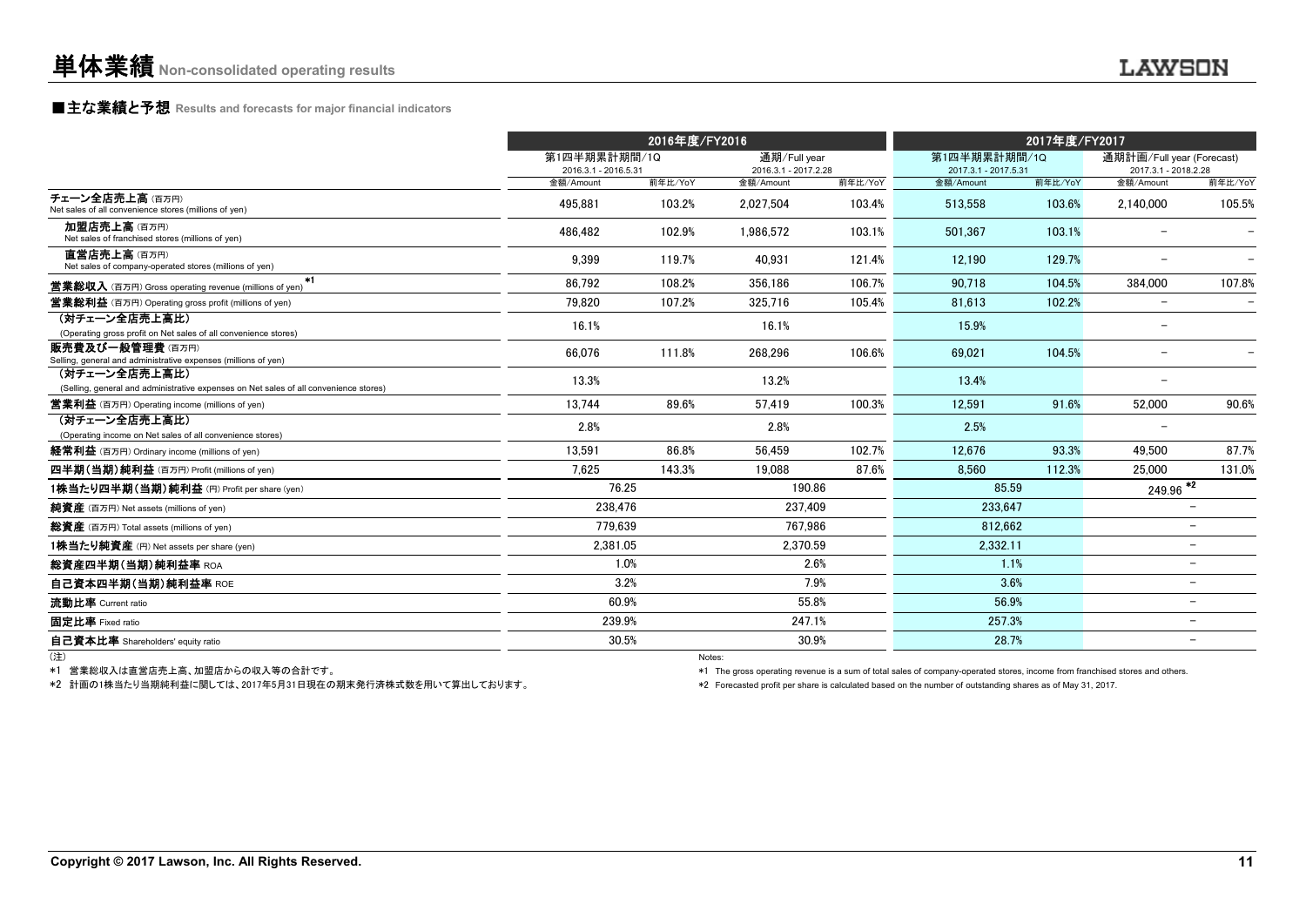#### **■主な業績と予想** Results and forecasts for major financial indicators

|                                                                                                        |                                      | 2016年度/FY2016 |                                      |         | 2017年度/FY2017                        |         |                                                   |                          |
|--------------------------------------------------------------------------------------------------------|--------------------------------------|---------------|--------------------------------------|---------|--------------------------------------|---------|---------------------------------------------------|--------------------------|
|                                                                                                        | 第1四半期累計期間/1Q<br>2016.3.1 - 2016.5.31 |               | 通期/Full year<br>2016.3.1 - 2017.2.28 |         | 第1四半期累計期間/1Q<br>2017.3.1 - 2017.5.31 |         | 通期計画/Full year (Forecast)<br>2017.3.1 - 2018.2.28 |                          |
|                                                                                                        | 金額/Amount                            | 前年比/YoY       | 金額/Amount                            | 前年比/YoY | 金額/Amount                            | 前年比/YoY | 金額/Amount                                         | 前年比/YoY                  |
| チェーン全店売上高(百万円)<br>Net sales of all convenience stores (millions of yen)                                | 495.881                              | 103.2%        | 2.027.504                            | 103.4%  | 513.558                              | 103.6%  | 2.140.000                                         | 105.5%                   |
| 加盟店売上高(百万円)<br>Net sales of franchised stores (millions of yen)                                        | 486.482                              | 102.9%        | 1.986.572                            | 103.1%  | 501.367                              | 103.1%  |                                                   |                          |
| 直営店売上高(百万円)<br>Net sales of company-operated stores (millions of yen)                                  | 9.399                                | 119.7%        | 40.931                               | 121.4%  | 12.190                               | 129.7%  |                                                   |                          |
| $*1$<br><b>営業総収入</b> (百万円) Gross operating revenue (millions of yen)                                   | 86.792                               | 108.2%        | 356.186                              | 106.7%  | 90.718                               | 104.5%  | 384.000                                           | 107.8%                   |
| <b>営業総利益</b> (百万円) Operating gross profit (millions of yen)                                            | 79.820                               | 107.2%        | 325.716                              | 105.4%  | 81,613                               | 102.2%  | $\overline{\phantom{a}}$                          |                          |
| (対チェーン全店売上高比)<br>(Operating gross profit on Net sales of all convenience stores)                       | 16.1%                                |               | 16.1%                                |         | 15.9%                                |         | $\overline{\phantom{0}}$                          |                          |
| 販売費及び一般管理費(百万円)<br>Selling, general and administrative expenses (millions of yen)                      | 66,076                               | 111.8%        | 268,296                              | 106.6%  | 69.021                               | 104.5%  | $\overline{\phantom{0}}$                          |                          |
| (対チェーン全店売上高比)<br>(Selling, general and administrative expenses on Net sales of all convenience stores) | 13.3%                                |               | 13.2%                                |         | 13.4%                                |         | $\overline{\phantom{a}}$                          |                          |
| <b>営業利益</b> (百万円) Operating income (millions of yen)                                                   | 13.744                               | 89.6%         | 57.419                               | 100.3%  | 12.591                               | 91.6%   | 52.000                                            | 90.6%                    |
| (対チェーン全店売上高比)<br>(Operating income on Net sales of all convenience stores)                             | 2.8%                                 |               | 2.8%                                 |         | 2.5%                                 |         |                                                   |                          |
| 経常利益 (百万円) Ordinary income (millions of yen)                                                           | 13.591                               | 86.8%         | 56.459                               | 102.7%  | 12.676                               | 93.3%   | 49.500                                            | 87.7%                    |
| 四半期(当期)純利益 (百万円) Profit (millions of yen)                                                              | 7.625                                | 143.3%        | 19,088                               | 87.6%   | 8.560                                | 112.3%  | 25,000                                            | 131.0%                   |
| 1株当たり四半期(当期)純利益 (円) Profit per share (yen)                                                             |                                      | 76.25         | 190.86                               |         | 85.59                                |         | $\frac{249.96}{2}$                                |                          |
| 純資産 (百万円) Net assets (millions of yen)                                                                 | 238,476                              |               | 237.409                              |         | 233,647                              |         |                                                   |                          |
| 総資産 (百万円) Total assets (millions of yen)                                                               | 779,639                              |               | 767.986                              |         | 812,662                              |         |                                                   | $\overline{\phantom{0}}$ |
| 1株当たり純資産 (円) Net assets per share (yen)                                                                | 2.381.05                             |               | 2.370.59                             |         | 2.332.11                             |         |                                                   | -                        |
| 総資産四半期(当期)純利益率 ROA                                                                                     |                                      | 1.0%          |                                      | 2.6%    |                                      | 1.1%    |                                                   | $\overline{\phantom{0}}$ |
| 自己資本四半期(当期)純利益率 ROE                                                                                    |                                      | 3.2%          |                                      | 7.9%    |                                      | 3.6%    |                                                   | Ξ.                       |
| 流動比率 Current ratio                                                                                     |                                      | 60.9%         |                                      | 55.8%   | 56.9%                                |         |                                                   | Ξ.                       |
| 固定比率 Fixed ratio                                                                                       | 239.9%                               |               | 247.1%                               |         | 257.3%                               |         |                                                   | $\overline{\phantom{0}}$ |
| 自己資本比率 Shareholders' equity ratio                                                                      |                                      | 30.5%         |                                      | 30.9%   | 28.7%                                |         |                                                   |                          |
|                                                                                                        |                                      | Notes:        |                                      |         |                                      |         |                                                   |                          |

\*1 営業総収入は直営店売上高、加盟店からの収入等の合計です。

\*2 計画の1株当たり当期純利益に関しては、2017年5月31日現在の期末発行済株式数を用いて算出しております。

\*1 The gross operating revenue is a sum of total sales of company-operated stores, income from franchised stores and others.

\*2 Forecasted profit per share is calculated based on the number of outstanding shares as of May 31, 2017.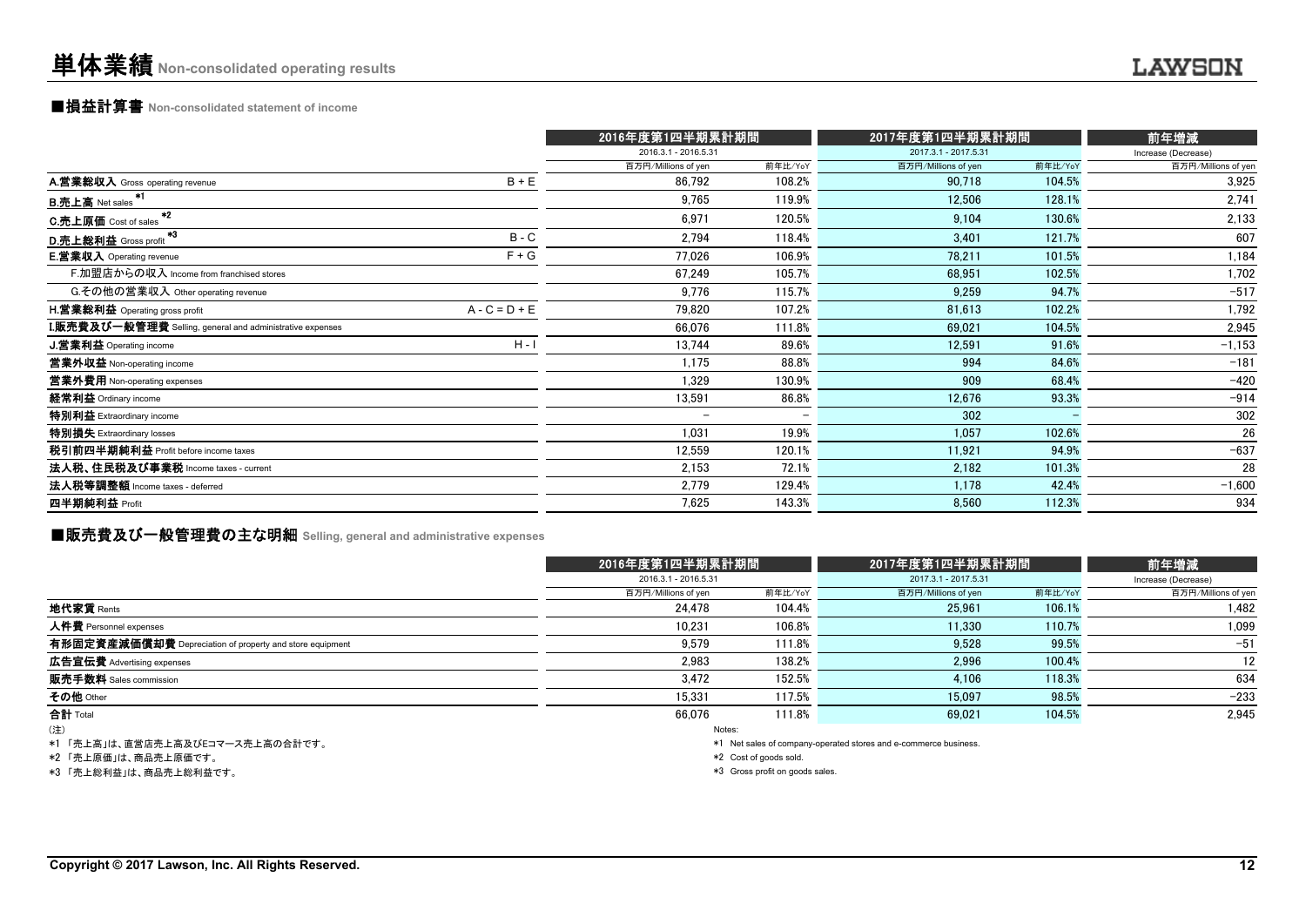#### ■損益計算書 **Non-consolidated statement of income**

|                                                                  |                 | 2016年度第1四半期累計期間          |         | 2017年度第1四半期累計期間      |         | 前年増減                |
|------------------------------------------------------------------|-----------------|--------------------------|---------|----------------------|---------|---------------------|
|                                                                  |                 | 2016.3.1 - 2016.5.31     |         | 2017.3.1 - 2017.5.31 |         | Increase (Decrease) |
|                                                                  |                 | 百万円/Millions of yen      | 前年比/YoY | 百万円/Millions of yen  | 前年比/YoY | 百万円/Millions of yen |
| A.営業総収入 Gross operating revenue                                  | $B + E$         | 86,792                   | 108.2%  | 90,718               | 104.5%  | 3,925               |
| <b>B.売上高</b> Net sales                                           |                 | 9,765                    | 119.9%  | 12,506               | 128.1%  | 2,741               |
| $*2$<br><b>C.売上原価</b> Cost of sales                              |                 | 6,971                    | 120.5%  | 9,104                | 130.6%  | 2,133               |
| *3<br>D.売上総利益 Gross profit                                       | $B - C$         | 2,794                    | 118.4%  | 3,401                | 121.7%  | 607                 |
| <b>E.営業収入</b> Operating revenue                                  | $F + G$         | 77.026                   | 106.9%  | 78,211               | 101.5%  | 1,184               |
| F.加盟店からの収入 Income from franchised stores                         |                 | 67,249                   | 105.7%  | 68,951               | 102.5%  | 1,702               |
| G.その他の営業収入 Other operating revenue                               |                 | 9,776                    | 115.7%  | 9,259                | 94.7%   | $-517$              |
| H.営業総利益 Operating gross profit                                   | $A - C = D + E$ | 79,820                   | 107.2%  | 81,613               | 102.2%  | 1,792               |
| <b>I.販売費及び一般管理費</b> Selling, general and administrative expenses |                 | 66,076                   | 111.8%  | 69,021               | 104.5%  | 2,945               |
| J.営業利益 Operating income                                          | $H - I$         | 13,744                   | 89.6%   | 12,591               | 91.6%   | $-1,153$            |
| 営業外収益 Non-operating income                                       |                 | 1,175                    | 88.8%   | 994                  | 84.6%   | $-181$              |
| 営業外費用 Non-operating expenses                                     |                 | 1,329                    | 130.9%  | 909                  | 68.4%   | $-420$              |
| 経常利益 Ordinary income                                             |                 | 13,591                   | 86.8%   | 12,676               | 93.3%   | $-914$              |
| 特別利益 Extraordinary income                                        |                 | $\overline{\phantom{0}}$ |         | 302                  |         | 302                 |
| 特別損失 Extraordinary losses                                        |                 | 1,031                    | 19.9%   | 1,057                | 102.6%  | 26                  |
| 税引前四半期純利益 Profit before income taxes                             |                 | 12,559                   | 120.1%  | 11.921               | 94.9%   | $-637$              |
| 法人税、住民税及び事業税 Income taxes - current                              |                 | 2.153                    | 72.1%   | 2,182                | 101.3%  | 28                  |
| 法人税等調整額 Income taxes - deferred                                  |                 | 2,779                    | 129.4%  | 1.178                | 42.4%   | $-1,600$            |
| 四半期純利益 Profit                                                    |                 | 7,625                    | 143.3%  | 8,560                | 112.3%  | 934                 |

# ■販売費及び一般管理費の主な明細 **Selling, general and administrative expenses**

|                                                          | 2016年度第1四半期累計期間      |         | 2017年度第1四半期累計期間      | 前年増減    |                     |
|----------------------------------------------------------|----------------------|---------|----------------------|---------|---------------------|
|                                                          | 2016.3.1 - 2016.5.31 |         | 2017.3.1 - 2017.5.31 |         | Increase (Decrease) |
|                                                          | 百万円/Millions of yen  | 前年比/YoY | 百万円/Millions of yen  | 前年比/YoY | 百万円/Millions of yen |
| 地代家賃 Rents                                               | 24,478               | 104.4%  | 25,961               | 106.1%  | 1,482               |
| 人件費 Personnel expenses                                   | 10.231               | 106.8%  | 11.330               | 110.7%  | 1,099               |
| 有形固定資産減価償却費 Depreciation of property and store equipment | 9,579                | 111.8%  | 9,528                | 99.5%   | $-51$               |
| 広告宣伝費 Advertising expenses                               | 2,983                | 138.2%  | 2,996                | 100.4%  | 12                  |
| 販売手数料 Sales commission                                   | 3,472                | 152.5%  | 4,106                | 118.3%  | 634                 |
| その他 Other                                                | 15.331               | 117.5%  | 15,097               | 98.5%   | $-233$              |
| 合計 Total                                                 | 66.076               | 111.8%  | 69.021               | 104.5%  | 2,945               |
| (注)                                                      |                      | Notes:  |                      |         |                     |
| .<br>.                                                   |                      |         |                      |         |                     |

\*1 「売上高」は、直営店売上高及びEコマース売上高の合計です。

\*2 「売上原価」は、商品売上原価です。

\*3 「売上総利益」は、商品売上総利益です。

\*1 Net sales of company-operated stores and e-commerce business.

\*2 Cost of goods sold.

\*3 Gross profit on goods sales.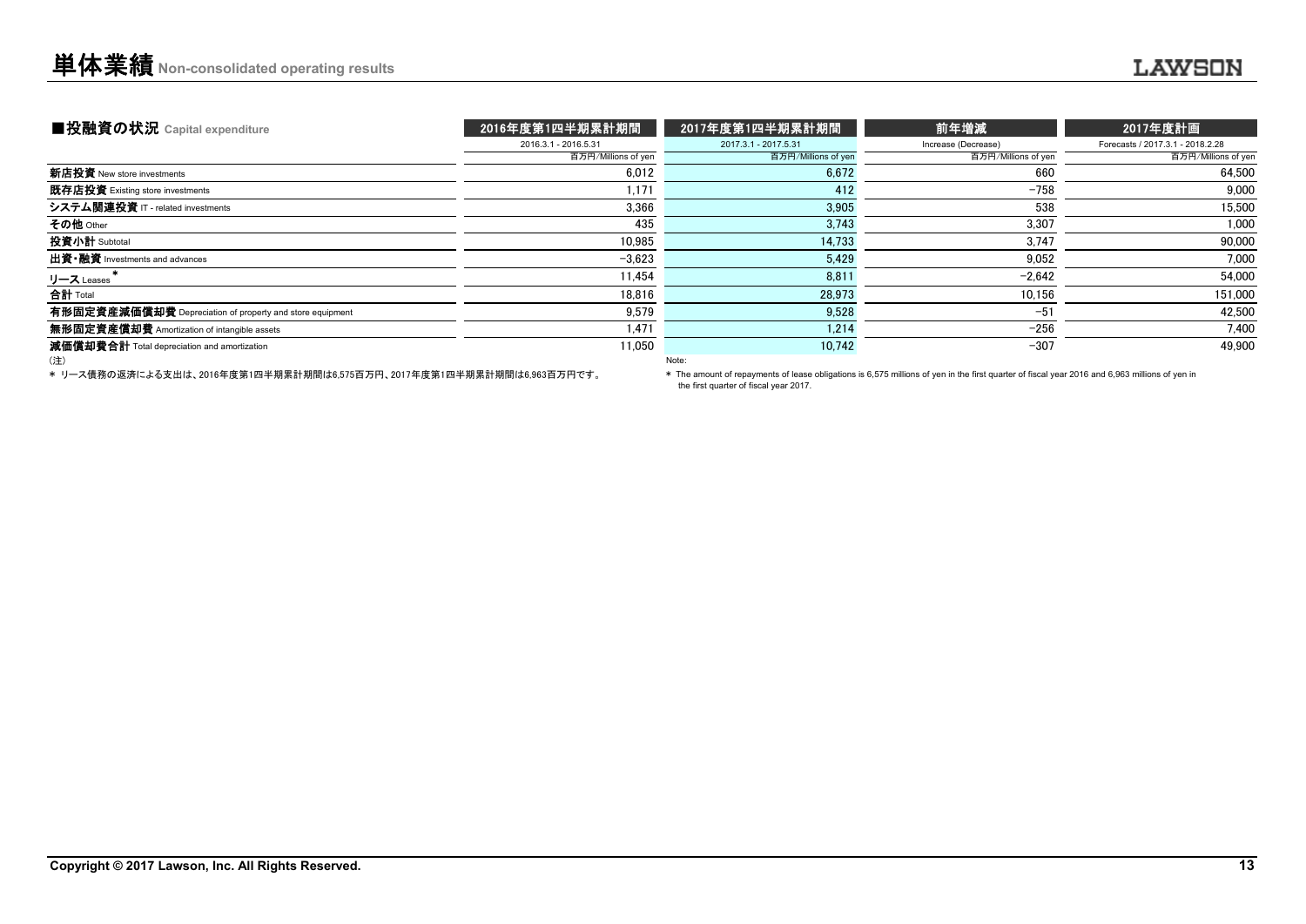| ■投融資の状況 Capital expenditure                              | 2016年度第1四半期累計期間      | 2017年度第1四半期累計期間      | 前年増減                | 2017年度計画                         |
|----------------------------------------------------------|----------------------|----------------------|---------------------|----------------------------------|
|                                                          | 2016.3.1 - 2016.5.31 | 2017.3.1 - 2017.5.31 | Increase (Decrease) | Forecasts / 2017.3.1 - 2018.2.28 |
|                                                          | 百万円/Millions of yen  | 百万円/Millions of yen  | 百万円/Millions of yen | 百万円/Millions of yen              |
| 新店投資 New store investments                               | 6,012                | 6,672                | 660                 | 64,500                           |
| 既存店投資 Existing store investments                         | 1.171                | 412                  | $-758$              | 9.000                            |
| システム関連投資 IT - related investments                        | 3,366                | 3,905                | 538                 | 15.500                           |
| その他 Other                                                | 435                  | 3,743                | 3,307               | 1,000                            |
| 投資小計 Subtotal                                            | 10.985               | 14,733               | 3.747               | 90,000                           |
| 出資 · 融資 Investments and advances                         | $-3.623$             | 5.429                | 9.052               | 7.000                            |
| リース Leases                                               | 11.454               | 8,811                | $-2.642$            | 54.000                           |
| 合計 Total                                                 | 18.816               | 28,973               | 10,156              | 151,000                          |
| 有形固定資産減価償却費 Depreciation of property and store equipment | 9,579                | 9.528                | $-51$               | 42.500                           |
| <b>無形固定資産償却費</b> Amortization of intangible assets       | 1.471                | 1.214                | $-256$              | 7,400                            |
| 減価償却費合計 Total depreciation and amortization              | 11,050               | 10,742               | $-307$              | 49.900                           |
| (注)                                                      |                      | Note:                |                     |                                  |

\* リース債務の返済による支出は、2016年度第1四半期累計期間は6,575百万円、2017年度第1四半期累計期間は6,963百万円です。

\* The amount of repayments of lease obligations is 6,575 millions of yen in the first quarter of fiscal year 2016 and 6,963 millions of yen in the first quarter of fiscal year 2017.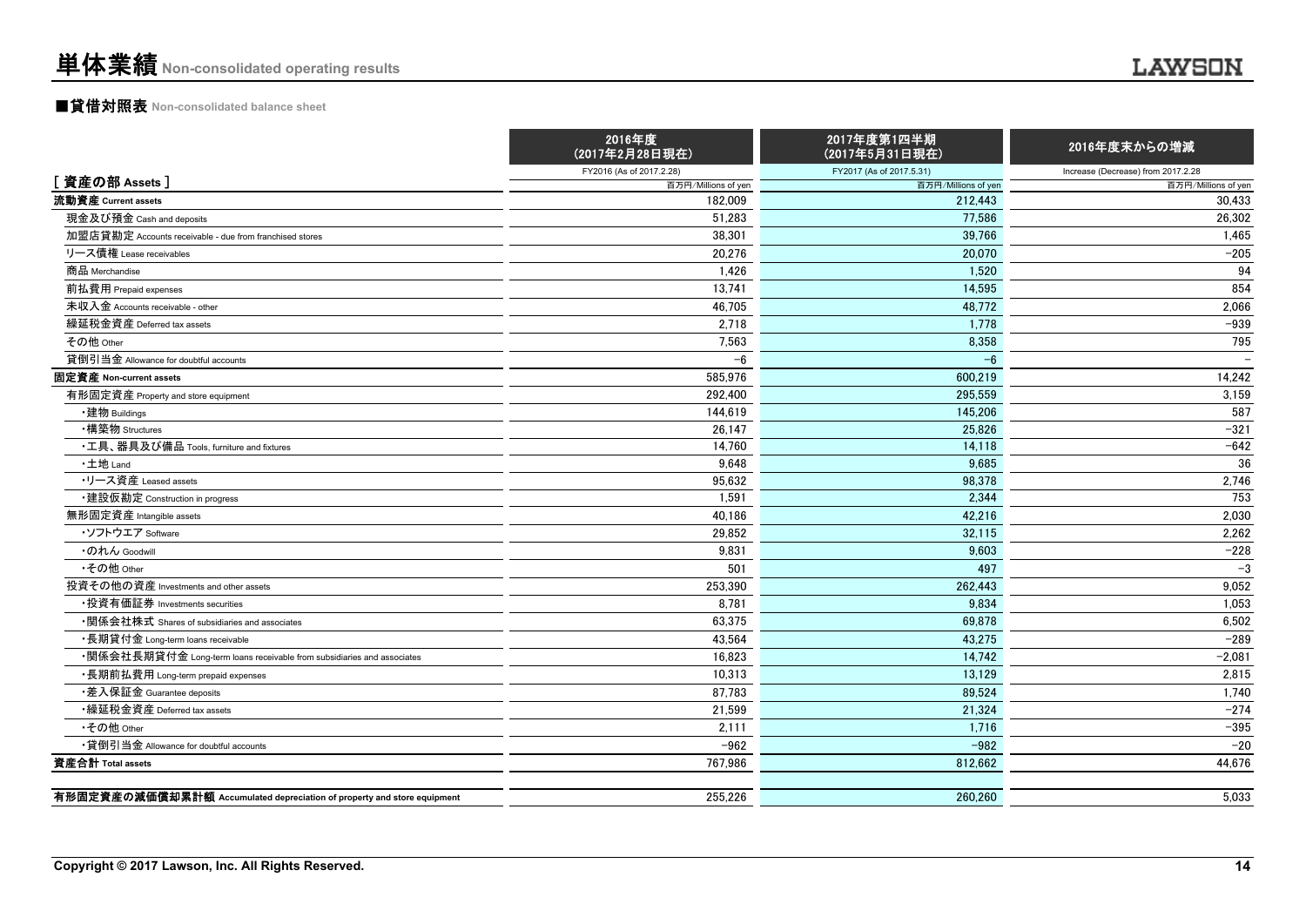## ■貸借対照表 **Non-consolidated balance sheet**

|                                                                         | 2016年度<br>(2017年2月28日現在) | 2017年度第1四半期<br>(2017年5月31日現在) | 2016年度末からの増減                       |
|-------------------------------------------------------------------------|--------------------------|-------------------------------|------------------------------------|
|                                                                         | FY2016 (As of 2017.2.28) | FY2017 (As of 2017.5.31)      | Increase (Decrease) from 2017.2.28 |
| [資産の部 Assets]                                                           | 百万円/Millions of yen      | 百万円/Millions of yen           | 百万円/Millions of yen                |
| 流動資産 Current assets                                                     | 182.009                  | 212.443                       | 30.433                             |
| 現金及び預金 Cash and deposits                                                | 51.283                   | 77.586                        | 26,302                             |
| 加盟店貸勘定 Accounts receivable - due from franchised stores                 | 38,301                   | 39,766                        | 1,465                              |
| リース債権 Lease receivables                                                 | 20.276                   | 20.070                        | $-205$                             |
| 商品 Merchandise                                                          | 1,426                    | 1.520                         | 94                                 |
| 前払費用 Prepaid expenses                                                   | 13,741                   | 14,595                        | 854                                |
| 未収入金 Accounts receivable - other                                        | 46,705                   | 48,772                        | 2,066                              |
| 繰延税金資産 Deferred tax assets                                              | 2.718                    | 1.778                         | $-939$                             |
| その他 Other                                                               | 7,563                    | 8,358                         | 795                                |
| 貸倒引当金 Allowance for doubtful accounts                                   | $-6$                     | $-6$                          |                                    |
| 固定資産 Non-current assets                                                 | 585,976                  | 600,219                       | 14,242                             |
| 有形固定資産 Property and store equipment                                     | 292.400                  | 295,559                       | 3,159                              |
| ・建物 Buildings                                                           | 144.619                  | 145,206                       | 587                                |
| ・構築物 Structures                                                         | 26,147                   | 25,826                        | $-321$                             |
| ・工具、器具及び備品 Tools, furniture and fixtures                                | 14,760                   | 14,118                        | $-642$                             |
| ・土地 Land                                                                | 9.648                    | 9.685                         | 36                                 |
| •リース資産 Leased assets                                                    | 95,632                   | 98,378                        | 2,746                              |
| •建設仮勘定 Construction in progress                                         | 1,591                    | 2.344                         | 753                                |
| 無形固定資産 Intangible assets                                                | 40,186                   | 42,216                        | 2,030                              |
| ・ソフトウエア Software                                                        | 29,852                   | 32,115                        | 2,262                              |
| ・のれん Goodwill                                                           | 9,831                    | 9.603                         | $-228$                             |
| •その他 Other                                                              | 501                      | 497                           | $-3$                               |
| 投資その他の資産 Investments and other assets                                   | 253,390                  | 262,443                       | 9,052                              |
| ・投資有価証券 Investments securities                                          | 8,781                    | 9.834                         | 1,053                              |
| •関係会社株式 Shares of subsidiaries and associates                           | 63,375                   | 69,878                        | 6,502                              |
| ・長期貸付金 Long-term loans receivable                                       | 43,564                   | 43,275                        | $-289$                             |
| •関係会社長期貸付金 Long-term loans receivable from subsidiaries and associates  | 16,823                   | 14,742                        | $-2,081$                           |
| •長期前払費用 Long-term prepaid expenses                                      | 10,313                   | 13.129                        | 2.815                              |
| •差入保証金 Guarantee deposits                                               | 87.783                   | 89.524                        | 1,740                              |
| •繰延税金資産 Deferred tax assets                                             | 21,599                   | 21,324                        | $-274$                             |
| •その他 Other                                                              | 2,111                    | 1,716                         | $-395$                             |
| •貸倒引当金 Allowance for doubtful accounts                                  | $-962$                   | $-982$                        | $-20$                              |
| 資産合計 Total assets                                                       | 767,986                  | 812,662                       | 44,676                             |
| 有形固定資産の減価償却累計額 Accumulated depreciation of property and store equipment | 255.226                  | 260.260                       | 5.033                              |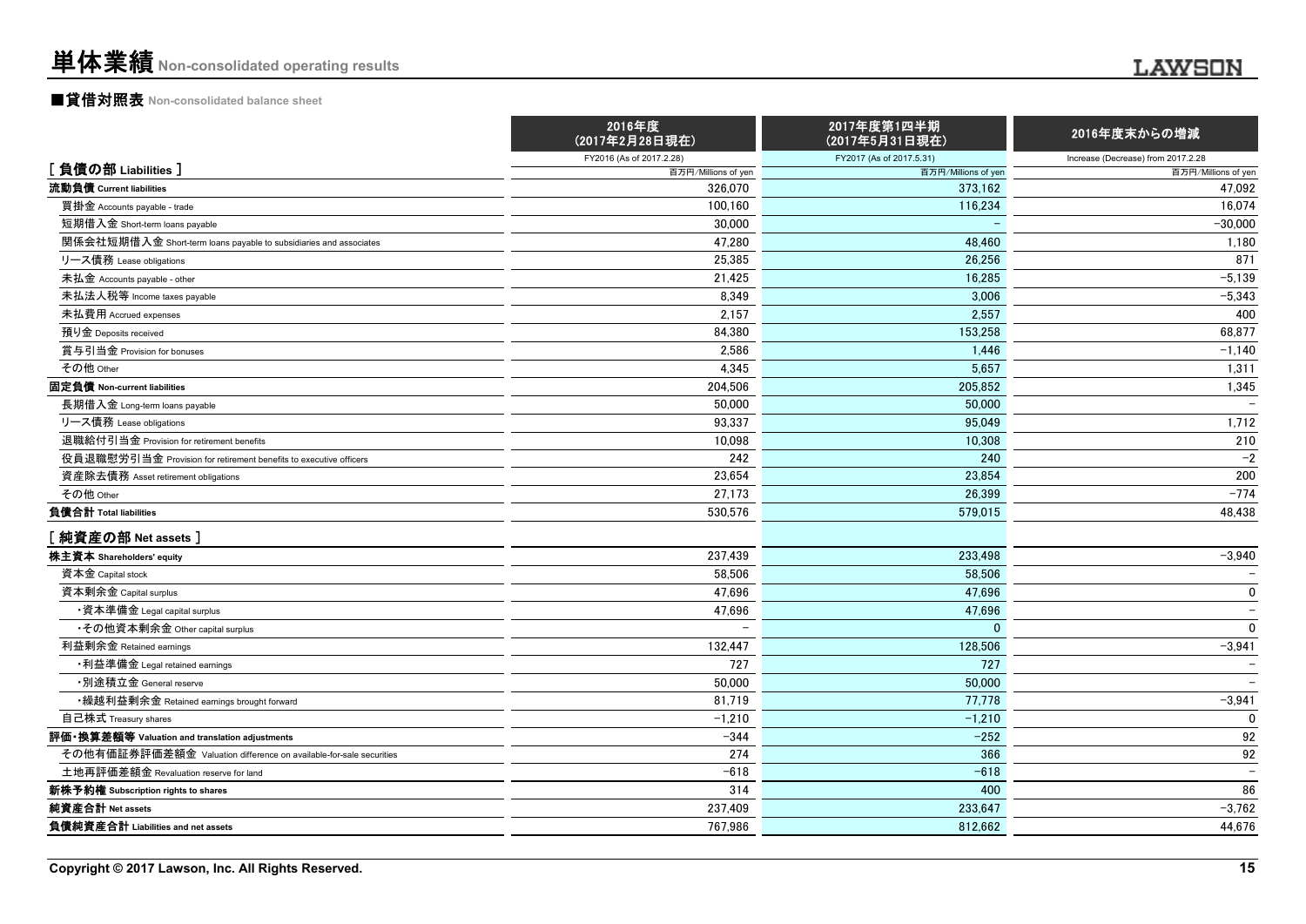#### ■貸借対照表 **Non-consolidated balance sheet**

|                                                                    | 2016年度<br>(2017年2月28日現在) | 2017年度第1四半期<br>(2017年5月31日現在) | 2016年度末からの増減                       |
|--------------------------------------------------------------------|--------------------------|-------------------------------|------------------------------------|
|                                                                    | FY2016 (As of 2017.2.28) | FY2017 (As of 2017.5.31)      | Increase (Decrease) from 2017.2.28 |
| [負債の部 Liabilities]                                                 | 百万円/Millions of yen      | 百万円/Millions of yen           | 百万円/Millions of yen                |
| 流動負債 Current liabilities                                           | 326.070                  | 373.162                       | 47.092                             |
| 買掛金 Accounts payable - trade                                       | 100,160                  | 116,234                       | 16,074                             |
| 短期借入金 Short-term loans payable                                     | 30,000                   |                               | $-30,000$                          |
| 関係会社短期借入金 Short-term loans payable to subsidiaries and associates  | 47,280                   | 48,460                        | 1,180                              |
| リース債務 Lease obligations                                            | 25,385                   | 26,256                        | 871                                |
| 未払金 Accounts payable - other                                       | 21,425                   | 16.285                        | $-5,139$                           |
| 未払法人税等 Income taxes payable                                        | 8,349                    | 3.006                         | $-5,343$                           |
| 未払費用 Accrued expenses                                              | 2,157                    | 2,557                         | 400                                |
| 預り金 Deposits received                                              | 84,380                   | 153,258                       | 68,877                             |
| 賞与引当金 Provision for bonuses                                        | 2,586                    | 1.446                         | $-1,140$                           |
| その他 Other                                                          | 4,345                    | 5,657                         | 1,311                              |
| 固定負債 Non-current liabilities                                       | 204,506                  | 205.852                       | 1,345                              |
| 長期借入金 Long-term loans payable                                      | 50,000                   | 50,000                        |                                    |
| リース債務 Lease obligations                                            | 93,337                   | 95.049                        | 1,712                              |
| 退職給付引当金 Provision for retirement benefits                          | 10,098                   | 10.308                        | 210                                |
| 役員退職慰労引当金 Provision for retirement benefits to executive officers  | 242                      | 240                           | $-2$                               |
| 資産除去債務 Asset retirement obligations                                | 23,654                   | 23,854                        | 200                                |
| その他 Other                                                          | 27,173                   | 26,399                        | $-774$                             |
| 負債合計 Total liabilities                                             | 530,576                  | 579,015                       | 48,438                             |
| [純資産の部 Net assets]                                                 |                          |                               |                                    |
| 株主資本 Shareholders' equity                                          | 237,439                  | 233,498                       | $-3,940$                           |
| 資本金 Capital stock                                                  | 58,506                   | 58.506                        |                                    |
| 資本剰余金 Capital surplus                                              | 47.696                   | 47.696                        | 0                                  |
| ・資本準備金 Legal capital surplus                                       | 47,696                   | 47.696                        | $\overline{\phantom{a}}$           |
| •その他資本剰余金 Other capital surplus                                    |                          | $\Omega$                      | $\mathbf 0$                        |
| 利益剰余金 Retained earnings                                            | 132,447                  | 128,506                       | $-3,941$                           |
| •利益準備金 Legal retained earnings                                     | 727                      | 727                           |                                    |
| ・別途積立金 General reserve                                             | 50,000                   | 50,000                        |                                    |
| ・繰越利益剰余金 Retained earnings brought forward                         | 81,719                   | 77,778                        | $-3,941$                           |
| 自己株式 Treasury shares                                               | $-1,210$                 | $-1.210$                      | $\Omega$                           |
| 評価・換算差額等 Valuation and translation adjustments                     | $-344$                   | $-252$                        | 92                                 |
| その他有価証券評価差額金 Valuation difference on available-for-sale securities | 274                      | 366                           | 92                                 |
| 土地再評価差額金 Revaluation reserve for land                              | $-618$                   | $-618$                        | $\overline{\phantom{m}}$           |
| 新株予約権 Subscription rights to shares                                | 314                      | 400                           | 86                                 |
| 純資産合計 Net assets                                                   | 237,409                  | 233,647                       | $-3,762$                           |
| 負債純資産合計 Liabilities and net assets                                 | 767,986                  | 812.662                       | 44.676                             |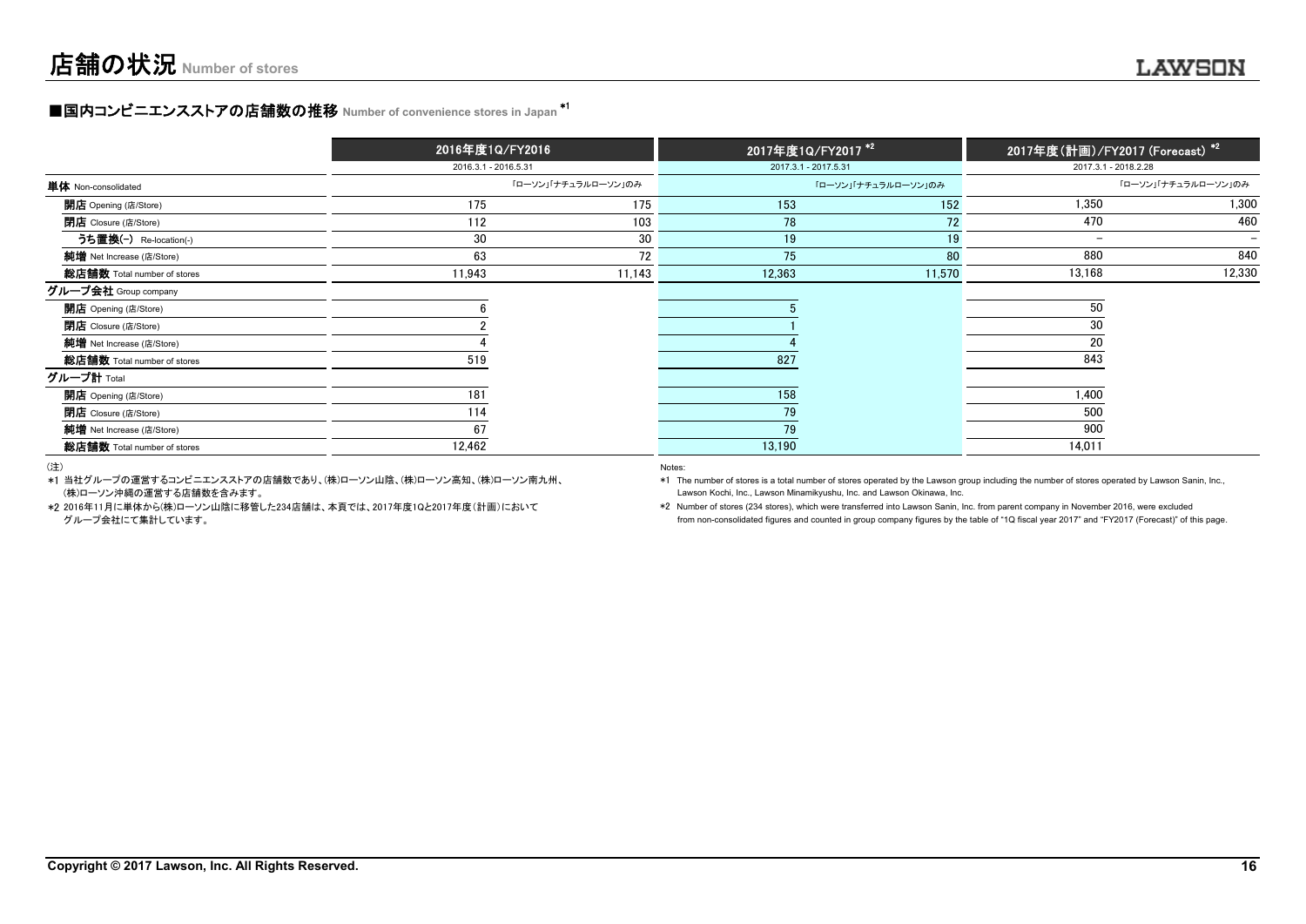#### **■国内コンビニエンスストアの店舗数の推移 Number of convenience stores in Japan \*1**

|                             | 2016年度1Q/FY2016      |                     | 2017年度1Q/FY2017 <sup>*2</sup> |                     | 2017年度(計画)/FY2017 (Fo <u>recast) *2</u> |                          |
|-----------------------------|----------------------|---------------------|-------------------------------|---------------------|-----------------------------------------|--------------------------|
|                             | 2016.3.1 - 2016.5.31 |                     | 2017.3.1 - 2017.5.31          |                     |                                         | 2017.3.1 - 2018.2.28     |
| 単体 Non-consolidated         |                      | 「ローソン」「ナチュラルローソン」のみ |                               | 「ローソン」「ナチュラルローソン」のみ |                                         | 「ローソン」「ナチュラルローソン」のみ      |
| <b>開店</b> Opening (店/Store) | 175                  | 175                 | 153                           | 152                 | 1.350                                   | 1,300                    |
| <b>閉店</b> Closure (店/Store) | 112                  | 103                 | 78                            | 72                  | 470                                     | 460                      |
| うち置換(-) Re-location(-)      | 30                   | 30                  | 19                            | 19                  | $-$                                     | $\overline{\phantom{0}}$ |
| 純增 Net Increase (店/Store)   | 63                   | 72                  | 75                            | 80                  | 880                                     | 840                      |
| 総店舗数 Total number of stores | 11,943               | 11,143              | 12,363                        | 11,570              | 13,168                                  | 12,330                   |
| グループ会社 Group company        |                      |                     |                               |                     |                                         |                          |
| <b>開店</b> Opening (店/Store) |                      |                     |                               |                     | 50                                      |                          |
| <b>閉店</b> Closure (店/Store) |                      |                     |                               |                     | 30                                      |                          |
| 純増 Net Increase (店/Store)   |                      |                     |                               |                     | 20                                      |                          |
| 総店舗数 Total number of stores | 519                  |                     | 827                           |                     | 843                                     |                          |
| グループ計 Total                 |                      |                     |                               |                     |                                         |                          |
| <b>開店</b> Opening (店/Store) | 181                  |                     | 158                           |                     | 1,400                                   |                          |
| <b>閉店</b> Closure (店/Store) | 114                  |                     | 79                            |                     | 500                                     |                          |
| 純増 Net Increase (店/Store)   | 67                   |                     | 79                            |                     | 900                                     |                          |
| 総店舗数 Total number of stores | 12,462               |                     | 13,190                        |                     | 14,011                                  |                          |

(注)

\*1 当社グループの運営するコンビニエンスストアの店舗数であり、(株)ローソン山陰、(株)ローソン高知、(株)ローソン南九州、(株)ローソン沖縄の運営する店舗数を含みます。 Lawson Kochi, Inc., Lawson Minamikyushu, Inc. and Lawson Okinawa, Inc.

\*2 2016年11月に単体から(株)ローソン山陰に移管した234店舗は、本頁では、2017年度1Qと2017年度(計画)において

Notes:

\*1 The number of stores is a total number of stores operated by the Lawson group including the number of stores operated by Lawson Sanin, Inc.,

 \*2 Number of stores (234 stores), which were transferred into Lawson Sanin, Inc. from parent company in November 2016, were excluded グループ会社にて集計しています。 from non-consolidated figures and counted in group company figures by the table of "1Q fiscal year 2017" and "FY2017 (Forecast)" of this page.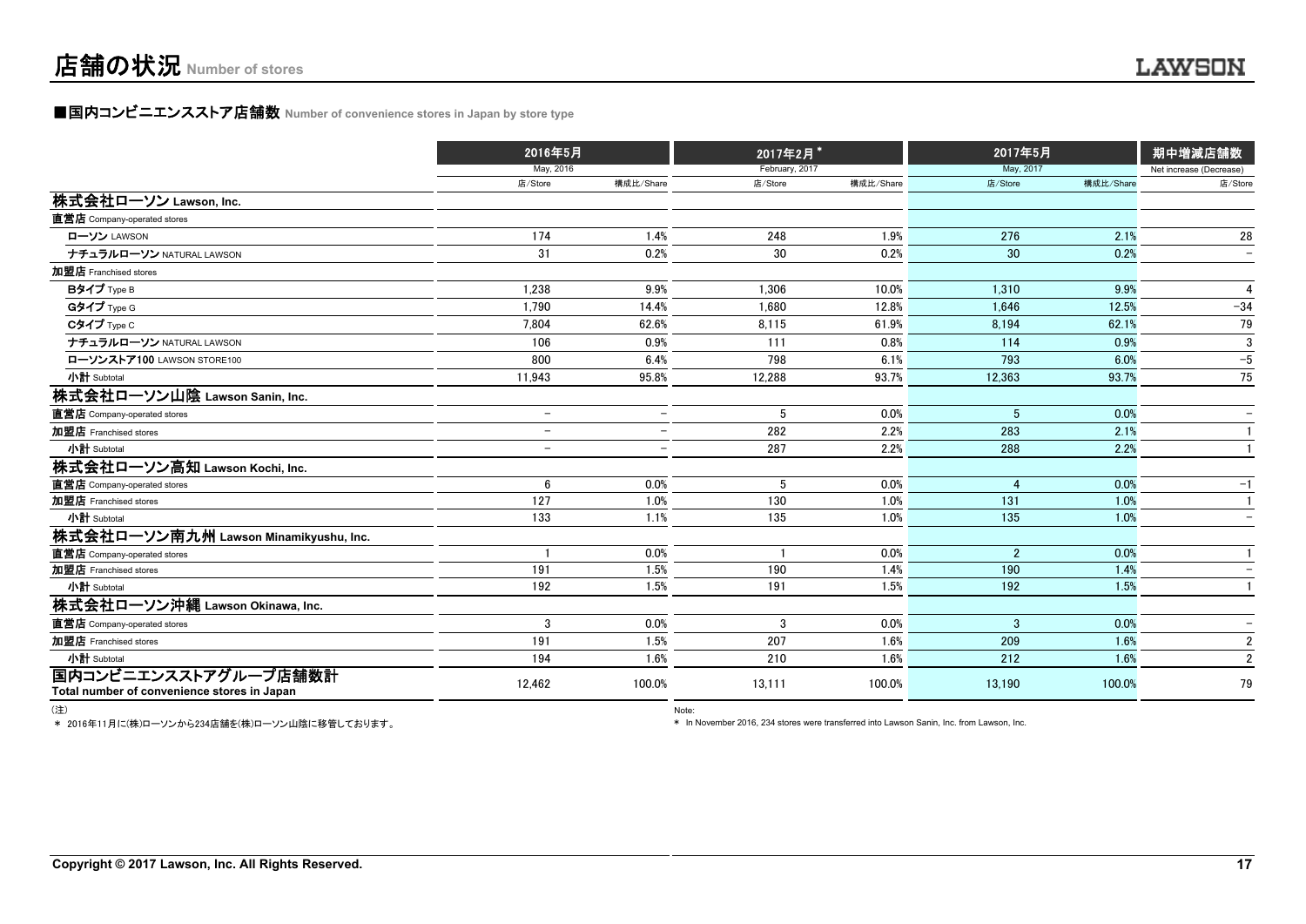#### **■国内コンビニエンスストア店舗数 Number of convenience stores in Japan by store type**

|                                                                     | 2016年5月                  |                          | 2017年2月*       |           | 2017年5月        |           | 期中増減店舗数                  |  |
|---------------------------------------------------------------------|--------------------------|--------------------------|----------------|-----------|----------------|-----------|--------------------------|--|
|                                                                     | May, 2016                |                          | February, 2017 |           | May, 2017      |           | Net increase (Decrease)  |  |
|                                                                     | 店/Store                  | 構成比/Share                | 店/Store        | 構成比/Share | 店/Store        | 構成比/Share | 店/Store                  |  |
| 株式会社ローソン Lawson, Inc.                                               |                          |                          |                |           |                |           |                          |  |
| 直営店 Company-operated stores                                         |                          |                          |                |           |                |           |                          |  |
| ローソン LAWSON                                                         | 174                      | 1.4%                     | 248            | 1.9%      | 276            | 2.1%      | 28                       |  |
| ナチュラルローソン NATURAL LAWSON                                            | 31                       | 0.2%                     | 30             | 0.2%      | 30             | 0.2%      | $\overline{\phantom{m}}$ |  |
| 加盟店 Franchised stores                                               |                          |                          |                |           |                |           |                          |  |
| Bタイプ Type B                                                         | 1.238                    | 9.9%                     | 1.306          | 10.0%     | 1.310          | 9.9%      | $\overline{4}$           |  |
| Gタイプ Type G                                                         | 1,790                    | 14.4%                    | 1,680          | 12.8%     | 1,646          | 12.5%     | $-34$                    |  |
| Cタイプ Type C                                                         | 7,804                    | 62.6%                    | 8,115          | 61.9%     | 8,194          | 62.1%     | 79                       |  |
| ナチュラルローソン NATURAL LAWSON                                            | 106                      | 0.9%                     | 111            | 0.8%      | 114            | 0.9%      | 3                        |  |
| ローソンストア100 LAWSON STORE100                                          | 800                      | 6.4%                     | 798            | 6.1%      | 793            | 6.0%      | $-5$                     |  |
| 小計 Subtotal                                                         | 11,943                   | 95.8%                    | 12,288         | 93.7%     | 12,363         | 93.7%     | 75                       |  |
| 株式会社ローソン山陰 Lawson Sanin, Inc.                                       |                          |                          |                |           |                |           |                          |  |
| 直営店 Company-operated stores                                         | $\overline{\phantom{0}}$ | $\overline{\phantom{m}}$ | 5              | 0.0%      | 5              | 0.0%      | $\overline{\phantom{m}}$ |  |
| 加盟店 Franchised stores                                               | $\overline{\phantom{0}}$ | $\overline{\phantom{0}}$ | 282            | 2.2%      | 283            | 2.1%      |                          |  |
| 小計 Subtotal                                                         | $\overline{\phantom{0}}$ | $\overline{\phantom{0}}$ | 287            | 2.2%      | 288            | 2.2%      |                          |  |
| 株式会社ローソン高知 Lawson Kochi, Inc.                                       |                          |                          |                |           |                |           |                          |  |
| 直営店 Company-operated stores                                         | 6                        | 0.0%                     | 5              | 0.0%      | $\overline{4}$ | 0.0%      | $-1$                     |  |
| 加盟店 Franchised stores                                               | 127                      | 1.0%                     | 130            | 1.0%      | 131            | 1.0%      |                          |  |
| 小計 Subtotal                                                         | 133                      | 1.1%                     | 135            | 1.0%      | 135            | 1.0%      |                          |  |
| 株式会社ローソン南九州 Lawson Minamikyushu, Inc.                               |                          |                          |                |           |                |           |                          |  |
| 直営店 Company-operated stores                                         |                          | 0.0%                     |                | 0.0%      | $\overline{2}$ | 0.0%      |                          |  |
| 加盟店 Franchised stores                                               | 191                      | 1.5%                     | 190            | 1.4%      | 190            | 1.4%      |                          |  |
| 小計 Subtotal                                                         | 192                      | 1.5%                     | 191            | 1.5%      | 192            | 1.5%      |                          |  |
| 株式会社ローソン沖縄 Lawson Okinawa, Inc.                                     |                          |                          |                |           |                |           |                          |  |
| 直営店 Company-operated stores                                         | 3                        | 0.0%                     | 3              | 0.0%      | 3              | 0.0%      |                          |  |
| 加盟店 Franchised stores                                               | 191                      | 1.5%                     | 207            | 1.6%      | 209            | 1.6%      | $\overline{2}$           |  |
| 小計 Subtotal                                                         | 194                      | 1.6%                     | 210            | 1.6%      | 212            | 1.6%      | $\overline{2}$           |  |
| 国内コンビニエンスストアグループ店舗数計<br>Total number of convenience stores in Japan | 12,462                   | 100.0%                   | 13,111         | 100.0%    | 13,190         | 100.0%    | 79                       |  |
|                                                                     |                          |                          |                |           |                |           |                          |  |

(注) Note:

\* 2016年11月に(株)ローソンから234店舗を(株)ローソン山陰に移管しております。

\* In November 2016, 234 stores were transferred into Lawson Sanin, Inc. from Lawson, Inc.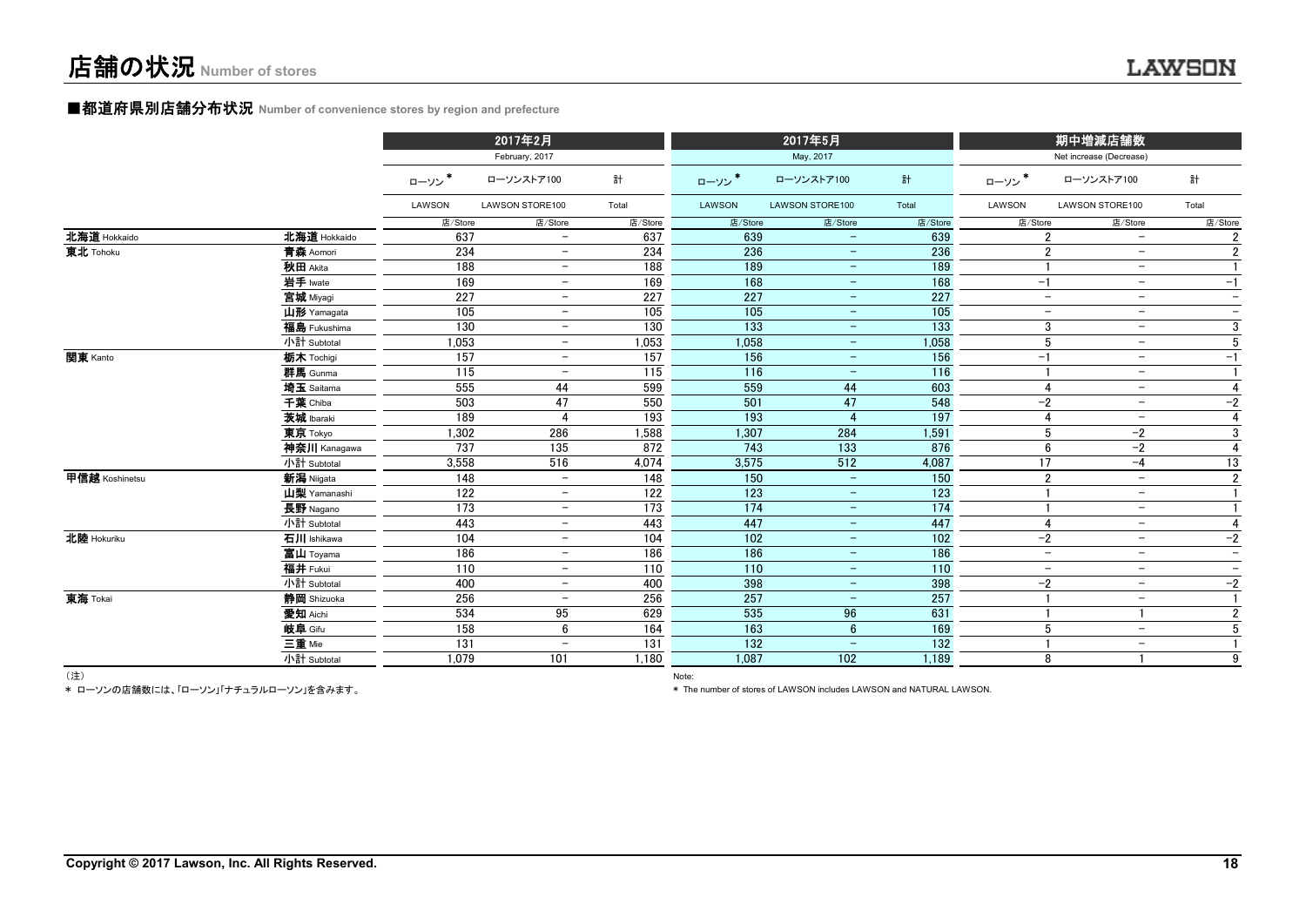# ■都道府県別店舗分布状況 **Number of convenience stores by region and prefecture**

|                |              |         | 2017年2月                  |         |         | 2017年5月                  |         |                | 期中増減店舗数                                              |                          |
|----------------|--------------|---------|--------------------------|---------|---------|--------------------------|---------|----------------|------------------------------------------------------|--------------------------|
|                |              |         | February, 2017           |         |         | May, 2017                |         |                | Net increase (Decrease)                              |                          |
|                |              | ローソン*   | ローソンストア100               | 計       | ローソン*   | ローソンストア100               | 計       | ローソン*          | ローソンストア100                                           | 計                        |
|                |              | LAWSON  | LAWSON STORE100          | Total   | LAWSON  | <b>LAWSON STORE100</b>   | Total   | LAWSON         | LAWSON STORE100                                      | Total                    |
|                |              | 店/Store | 店/Store                  | 店/Store | 店/Store | 店/Store                  | 店/Store | 店/Store        | 店/Store                                              | 店/Store                  |
| 北海道 Hokkaido   | 北海道 Hokkaido | 637     | $\overline{\phantom{0}}$ | 637     | 639     | $\overline{\phantom{m}}$ | 639     |                | $\overline{2}$<br>$\overline{\phantom{a}}$           |                          |
| 東北 Tohoku      | 青森 Aomori    | 234     | $\overline{\phantom{m}}$ | 234     | 236     | $-$                      | 236     |                | $\overline{2}$<br>$\overline{\phantom{m}}$           | $\overline{2}$           |
|                | 秋田 Akita     | 188     | $-$                      | 188     | 189     | $ \,$                    | 189     | $\mathbf{1}$   | $\overline{\phantom{a}}$                             |                          |
|                | 岩手 Iwate     | 169     | $-$                      | 169     | 168     | $-$                      | 168     | $-1$           | $\overline{\phantom{m}}$                             | $-1$                     |
|                | 宮城 Miyagi    | 227     | $-$                      | 227     | 227     | $\qquad \qquad -$        | 227     |                | $\overline{\phantom{m}}$<br>$\overline{\phantom{a}}$ | $\overline{\phantom{a}}$ |
|                | 山形 Yamagata  | 105     | $\overline{\phantom{0}}$ | 105     | 105     | $\qquad \qquad -$        | 105     |                | $\overline{\phantom{m}}$<br>$\overline{\phantom{a}}$ | $\overline{\phantom{0}}$ |
|                | 福島 Fukushima | 130     | $\overline{\phantom{0}}$ | 130     | 133     | $-$                      | 133     |                | 3<br>$\overline{\phantom{a}}$                        | 3                        |
|                | 小計 Subtotal  | 1,053   | $\overline{\phantom{m}}$ | 1,053   | 1,058   | $-$                      | 1,058   |                | 5<br>$\overline{\phantom{m}}$                        | 5                        |
| 関東 Kanto       | 栃木 Tochigi   | 157     | $-$                      | 157     | 156     | $\equiv$                 | 156     | $-1$           | $\overline{\phantom{a}}$                             | $-1$                     |
|                | 群馬 Gunma     | 115     | $\overline{\phantom{0}}$ | 115     | 116     | $\equiv$                 | 116     | $\overline{1}$ | $\overline{\phantom{m}}$                             |                          |
|                | 埼玉 Saitama   | 555     | 44                       | 599     | 559     | 44                       | 603     |                | 4<br>$\overline{\phantom{a}}$                        |                          |
|                | 千葉 Chiba     | 503     | 47                       | 550     | 501     | 47                       | 548     | $-2$           | $\overline{\phantom{m}}$                             | $-2$                     |
|                | 茨城 Ibaraki   | 189     | 4                        | 193     | 193     | $\overline{4}$           | 197     |                | 4<br>$\overline{\phantom{m}}$                        | 4                        |
|                | 東京 Tokyo     | 1,302   | 286                      | 1,588   | 1,307   | 284                      | 1,591   |                | 5<br>$-2$                                            | 3                        |
|                | 神奈川 Kanagawa | 737     | 135                      | 872     | 743     | 133                      | 876     |                | 6<br>$-2$                                            | 4                        |
|                | 小計 Subtotal  | 3,558   | 516                      | 4,074   | 3,575   | 512                      | 4,087   | 17             | $-4$                                                 | 13                       |
| 甲信越 Koshinetsu | 新潟 Niigata   | 148     | $\overline{\phantom{m}}$ | 148     | 150     | $\equiv$                 | 150     |                | $\overline{2}$<br>$\overline{\phantom{a}}$           | $\overline{2}$           |
|                | 山梨 Yamanashi | 122     | $-$                      | 122     | 123     | $-$                      | 123     |                | $\overline{\phantom{m}}$                             |                          |
|                | 長野 Nagano    | 173     | $\overline{\phantom{0}}$ | 173     | 174     | $\qquad \qquad -$        | 174     |                | $\overline{\phantom{a}}$                             |                          |
|                | 小計 Subtotal  | 443     | $\overline{\phantom{a}}$ | 443     | 447     | $-$                      | 447     |                | 4<br>$\overline{\phantom{0}}$                        |                          |
| 北陸 Hokuriku    | 石川 Ishikawa  | 104     | $\overline{\phantom{0}}$ | 104     | 102     | $\qquad \qquad -$        | 102     | $-2$           | $\overline{\phantom{a}}$                             | $-2$                     |
|                | 富山 Toyama    | 186     | $\overline{\phantom{0}}$ | 186     | 186     | $-$                      | 186     |                | $\overline{\phantom{a}}$<br>$\overline{\phantom{0}}$ | $\overline{\phantom{a}}$ |
|                | 福井 Fukui     | 110     | $\overline{\phantom{a}}$ | 110     | 110     | $-$                      | 110     |                | $\overline{\phantom{a}}$<br>$\overline{\phantom{a}}$ | $\overline{\phantom{a}}$ |
|                | 小計 Subtotal  | 400     | $-$                      | 400     | 398     | $ \,$                    | 398     | $-2$           | $\overline{\phantom{a}}$                             | $-2$                     |
| 東海 Tokai       | 静岡 Shizuoka  | 256     |                          | 256     | 257     | $\overline{\phantom{m}}$ | 257     | -1             | $\overline{\phantom{m}}$                             |                          |
|                | 愛知 Aichi     | 534     | 95                       | 629     | 535     | 96                       | 631     | -1             |                                                      | $\overline{2}$           |
|                | 岐阜 Gifu      | 158     | 6                        | 164     | 163     | $6\phantom{1}$           | 169     |                | 5<br>$\overline{\phantom{a}}$                        | 5                        |
|                | 三重 Mie       | 131     |                          | 131     | 132     | $\overline{\phantom{a}}$ | 132     |                | $\overline{\phantom{a}}$                             |                          |
|                | 小計 Subtotal  | 1.079   | 101                      | 1.180   | 1,087   | 102                      | 1,189   |                | 8                                                    | 9                        |

(注) Note:

\* ローソンの店舗数には、「ローソン」「ナチュラルローソン」を含みます。

\* The number of stores of LAWSON includes LAWSON and NATURAL LAWSON.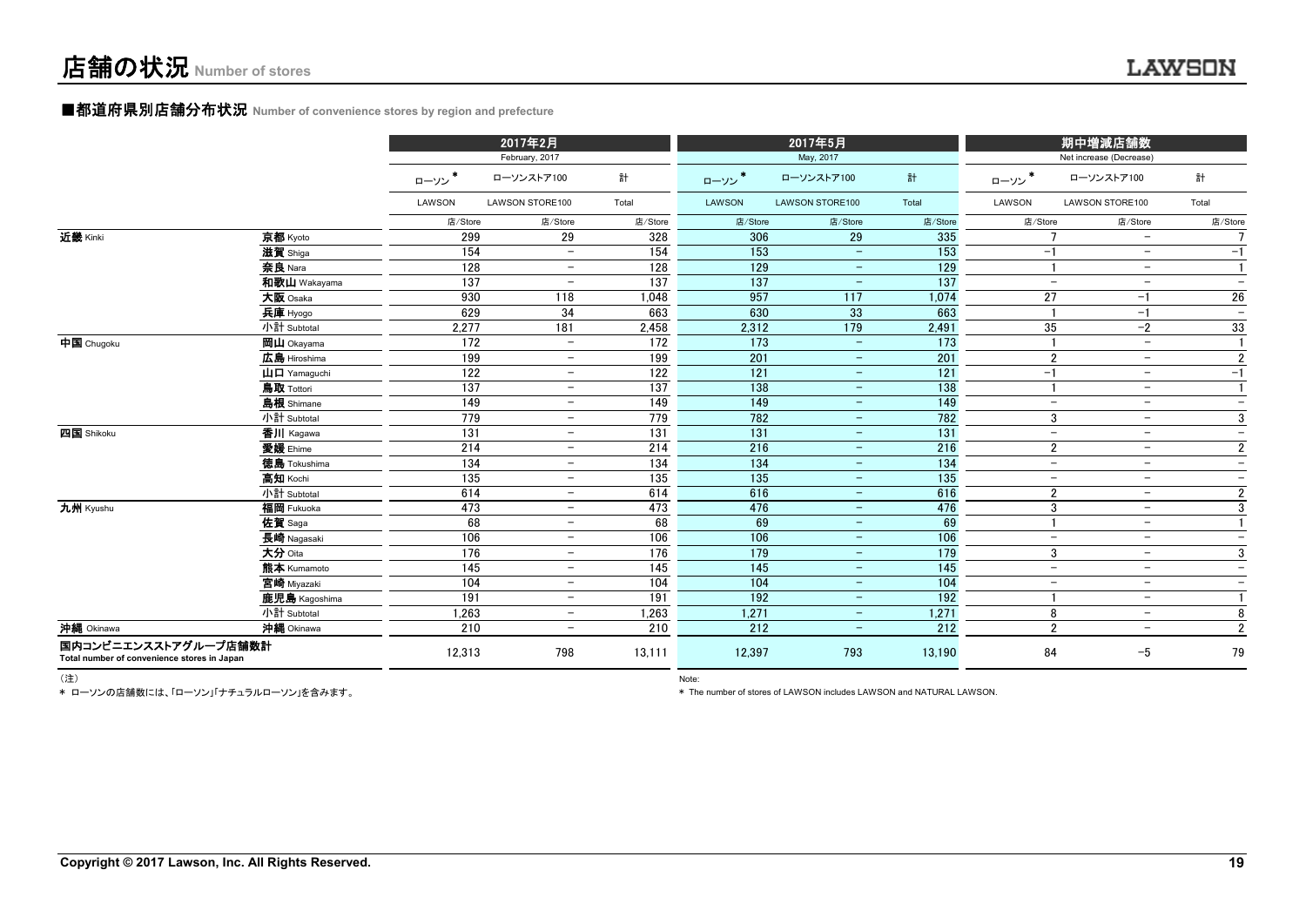#### ■都道府県別店舗分布状況 Number of convenience stores by region and prefecture

|                                                                     |                                                       |                  | 2017年2月                  |                  |         | 2017年5月                  |         |                          | 期中増減店舗数                  |                          |
|---------------------------------------------------------------------|-------------------------------------------------------|------------------|--------------------------|------------------|---------|--------------------------|---------|--------------------------|--------------------------|--------------------------|
|                                                                     |                                                       |                  | February, 2017           |                  |         | May, 2017                |         |                          | Net increase (Decrease)  |                          |
|                                                                     |                                                       | ローソン             | ローソンストア100               | 計                | ローソン*   | ローソンストア100               | 計       | ローソン*                    | ローソンストア100               | 計                        |
|                                                                     |                                                       | LAWSON           | LAWSON STORE100          | Total            | LAWSON  | LAWSON STORE100          | Total   | LAWSON                   | LAWSON STORE100          | Total                    |
|                                                                     |                                                       | 店/Store          | 店/Store                  | 店/Store          | 店/Store | 店/Store                  | 店/Store | 店/Store                  | 店/Store                  | 店/Store                  |
| 近畿 Kinki                                                            | 京都 Kyoto                                              | 299              | 29                       | 328              | 306     | 29                       | 335     |                          | $\overline{\phantom{0}}$ | 7                        |
|                                                                     | 滋賀 Shiga                                              | 154              | $\overline{\phantom{m}}$ | 154              | 153     | $\overline{\phantom{a}}$ | 153     | $-1$                     | $\overline{\phantom{a}}$ | $-1$                     |
|                                                                     | 奈良 Nara                                               | 128              | $\overline{\phantom{m}}$ | 128              | 129     | $\overline{\phantom{m}}$ | 129     |                          | $\overline{\phantom{m}}$ | $\mathbf{1}$             |
|                                                                     | 和歌山 Wakayama                                          | 137              | $\overline{\phantom{m}}$ | 137              | 137     | $\qquad \qquad -$        | 137     | $\overline{\phantom{a}}$ | $\overline{\phantom{m}}$ | $\overline{\phantom{a}}$ |
|                                                                     | 大阪 Osaka                                              | 930              | 118                      | 1.048            | 957     | 117                      | 1,074   | 27                       | $-1$                     | 26                       |
|                                                                     | 兵庫 Hyogo                                              | 629              | 34                       | 663              | 630     | 33                       | 663     | $\blacksquare$           | $-1$                     | $\overline{\phantom{a}}$ |
|                                                                     | 小計 Subtotal                                           | 2,277            | 181                      | 2,458            | 2,312   | 179                      | 2,491   | 35                       | $-2$                     | 33                       |
| 中国 Chugoku                                                          | 岡山 Okayama                                            | 172              | $\equiv$                 | $\overline{172}$ | 173     | $\equiv$                 | 173     |                          | $\overline{\phantom{m}}$ |                          |
|                                                                     | 広島 Hiroshima                                          | 199              | $-$                      | 199              | 201     | $\equiv$                 | 201     | $\overline{2}$           | $\overline{\phantom{m}}$ | $\overline{2}$           |
|                                                                     | $\mathbf{\mathsf{u}}$ $\mathbf{\mathsf{u}}$ Yamaguchi | 122              | $-$                      | 122              | 121     | $\sim$                   | 121     | $-1$                     | $\overline{\phantom{a}}$ | $-1$                     |
|                                                                     | 鳥取 Tottori                                            | 137              | $-$                      | 137              | 138     | $\overline{\phantom{a}}$ | 138     |                          | $\overline{\phantom{m}}$ | $\mathbf{1}$             |
|                                                                     | 島根 Shimane                                            | 149              | $-$                      | 149              | 149     | $-$                      | 149     | $\overline{\phantom{a}}$ | $\overline{\phantom{a}}$ | $\overline{\phantom{a}}$ |
|                                                                     | 小計 Subtotal                                           | 779              | $-$                      | 779              | 782     | $\overline{\phantom{m}}$ | 782     | 3                        | $\overline{\phantom{m}}$ | 3                        |
| 四国 Shikoku                                                          | 香川 Kagawa                                             | 131              | $-$                      | 131              | 131     | $\qquad \qquad -$        | 131     | $\overline{\phantom{0}}$ | $\overline{\phantom{m}}$ | $\qquad \qquad -$        |
|                                                                     | 愛媛 Ehime                                              | 214              | $-$                      | 214              | 216     | $\sim$                   | 216     | $\overline{2}$           | $\overline{\phantom{a}}$ | $\overline{2}$           |
|                                                                     | 徳島 Tokushima                                          | 134              | $\overline{\phantom{m}}$ | 134              | 134     | $\equiv$                 | 134     | $\equiv$                 | $\equiv$                 | $\qquad \qquad -$        |
|                                                                     | 高知 Kochi                                              | 135              | $-$                      | 135              | 135     | $\equiv$                 | 135     | $\overline{\phantom{a}}$ | $\overline{\phantom{a}}$ | $\overline{\phantom{m}}$ |
|                                                                     | 小計 Subtotal                                           | 614              | $-$                      | 614              | 616     | $-$                      | 616     | $\overline{2}$           | $\overline{\phantom{a}}$ | $\overline{2}$           |
| 九州 Kyushu                                                           | 福岡 Fukuoka                                            | 473              | $-$                      | 473              | 476     | $\equiv$                 | 476     | 3                        | $\overline{\phantom{m}}$ | 3                        |
|                                                                     | 佐賀 Saga                                               | 68               | $-$                      | 68               | 69      | $-$                      | 69      | $\mathbf{1}$             | $\overline{\phantom{a}}$ | $\mathbf{1}$             |
|                                                                     | 長崎 Nagasaki                                           | 106              | $-$                      | 106              | 106     | $-$                      | 106     | $\equiv$                 | $\overline{\phantom{a}}$ | $\qquad \qquad -$        |
|                                                                     | 大分 Oita                                               | 176              | $-$                      | 176              | 179     | $-$                      | 179     | 3                        | $\overline{\phantom{m}}$ | 3                        |
|                                                                     | 熊本 Kumamoto                                           | 145              | $-$                      | 145              | 145     | $-$                      | 145     | $\overline{\phantom{m}}$ | $\overline{\phantom{a}}$ | $\overline{\phantom{a}}$ |
|                                                                     | 宮崎 Miyazaki                                           | 104              | $-$                      | 104              | 104     | $-$                      | 104     | $\overline{\phantom{m}}$ | $\overline{\phantom{m}}$ | $\qquad \qquad -$        |
|                                                                     | 鹿児島 Kagoshima                                         | 191              | $-$                      | 191              | 192     | $-$                      | 192     |                          | $\overline{\phantom{a}}$ |                          |
|                                                                     | 小計 Subtotal                                           | 1,263            | $\overline{\phantom{0}}$ | 1,263            | 1,271   | $\qquad \qquad -$        | 1,271   | 8                        | $\overline{\phantom{a}}$ | 8                        |
| 沖縄 Okinawa                                                          | 沖縄 Okinawa                                            | $\overline{210}$ | $\overline{\phantom{0}}$ | 210              | 212     | $\overline{\phantom{m}}$ | 212     | $\overline{2}$           | $\overline{\phantom{a}}$ | $\overline{2}$           |
| 国内コンビニエンスストアグループ店舗数計<br>Total number of convenience stores in Japan |                                                       | 12,313           | 798                      | 13,111           | 12,397  | 793                      | 13,190  | 84                       | $-5$                     | 79                       |

\* ローソンの店舗数には、「ローソン」「ナチュラルローソン」を含みます。

(注) Note:

\* The number of stores of LAWSON includes LAWSON and NATURAL LAWSON.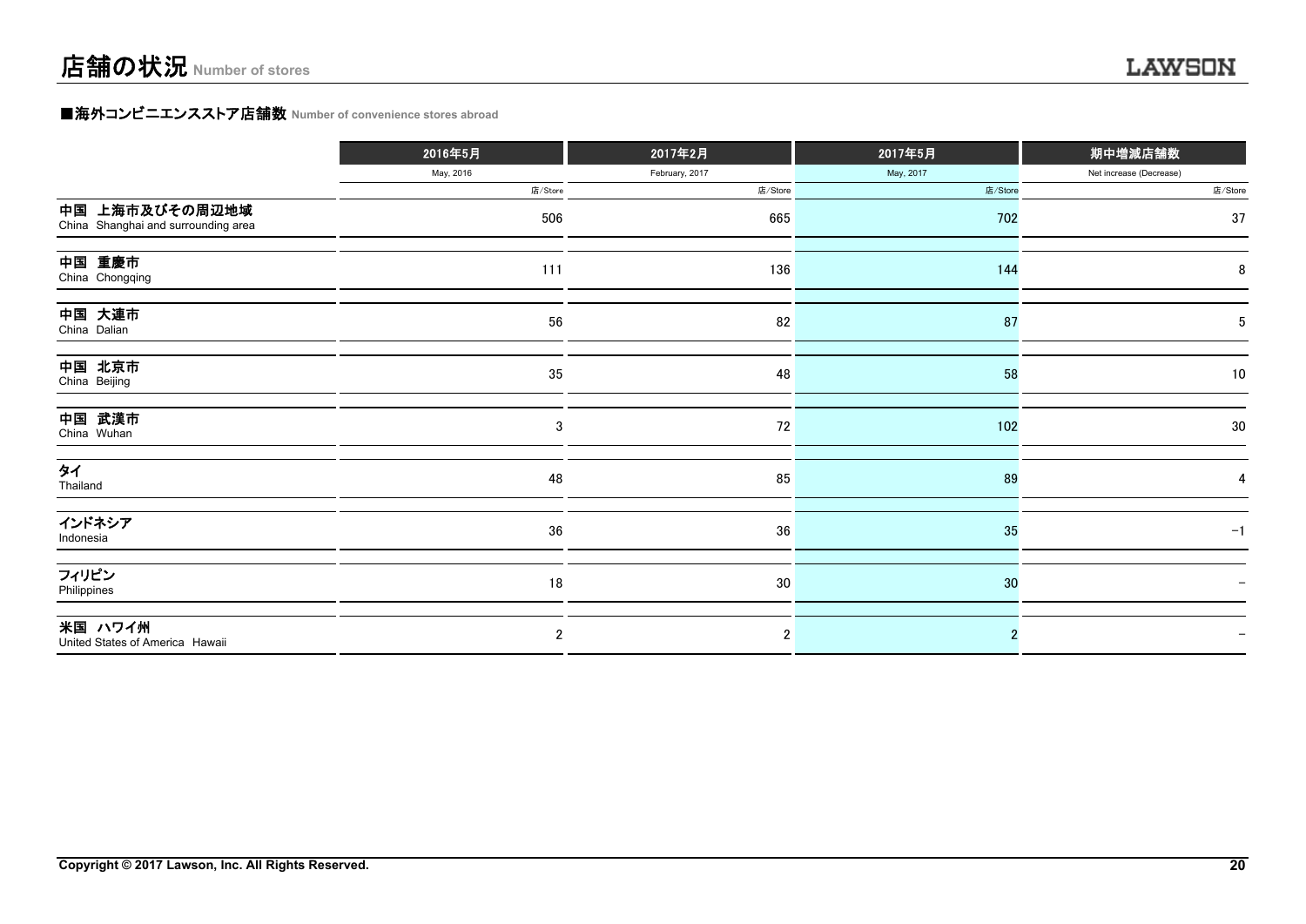#### **■海外コンビニエンスストア店舗数 Number of convenience stores abroad**

|                                                       | 2016年5月   | 2017年2月        | 2017年5月   | 期中増減店舗数                 |
|-------------------------------------------------------|-----------|----------------|-----------|-------------------------|
|                                                       | May, 2016 | February, 2017 | May, 2017 | Net increase (Decrease) |
|                                                       | 店/Store   | 店/Store        | 店/Store   | 店/Store                 |
| 中国 上海市及びその周辺地域<br>China Shanghai and surrounding area | 506       | 665            | 702       | 37                      |
| 中国 重慶市<br>China Chongqing                             | 111       | 136            | 144       | 8                       |
| 中国 大連市<br>China Dalian                                | 56        | 82             | 87        | 5                       |
| 中国 北京市<br>China Beijing                               | 35        | 48             | 58        | 10                      |
| 中国 武漢市<br>China Wuhan                                 | 3         | 72             | 102       | 30                      |
| タイ<br>Thailand                                        | 48        | 85             | 89        |                         |
| インドネシア<br>Indonesia                                   | 36        | 36             | 35        | $-1$                    |
| フィリピン<br>Philippines                                  | 18        | 30             | 30        |                         |
| 米国 ハワイ州<br>United States of America Hawaii            | 2         | $\overline{2}$ |           |                         |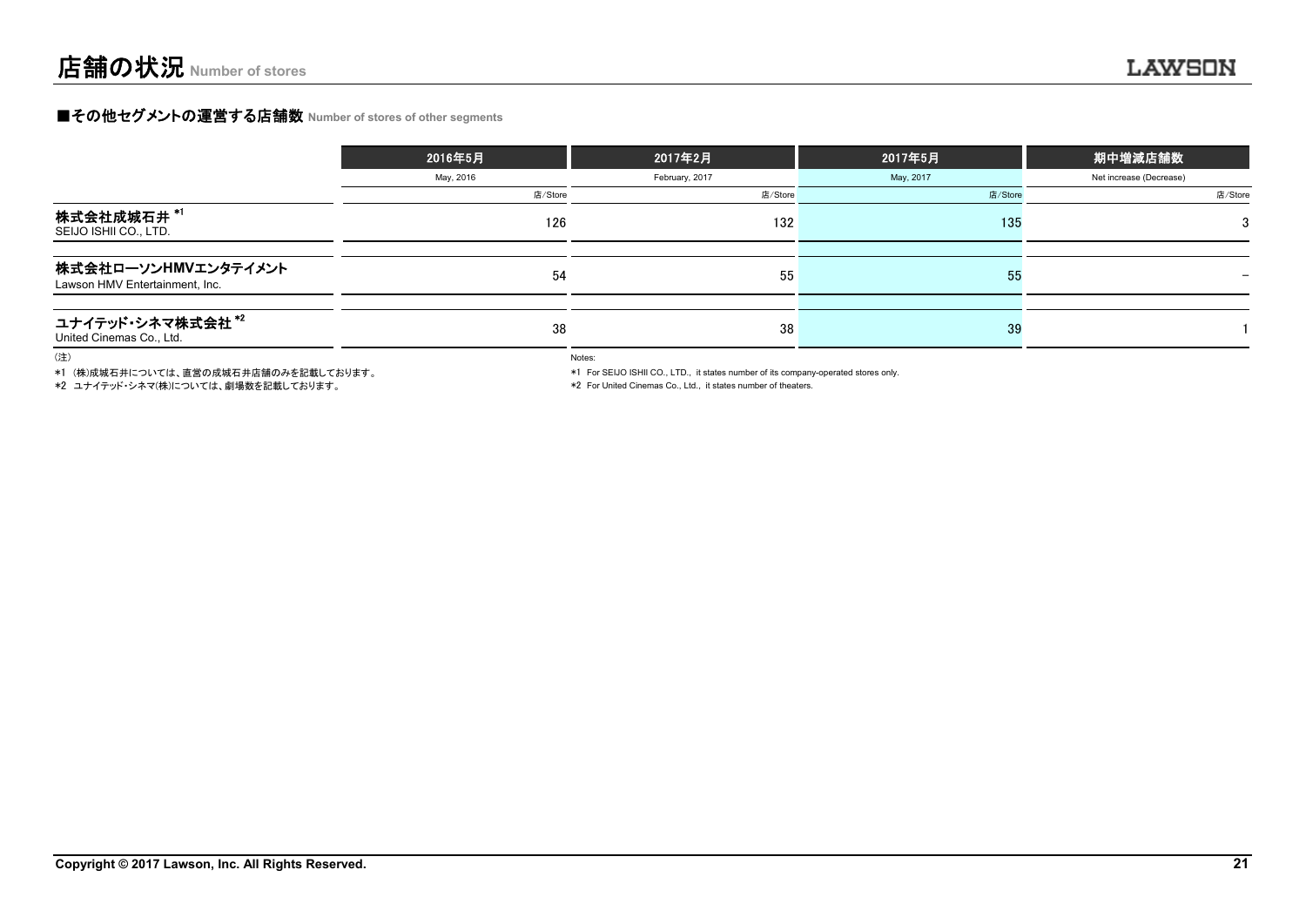#### **■その他セグメントの運営する店舗数 Number of stores of other segments**

|                                                       | 2016年5月   | 2017年2月        | 2017年5月   | 期中増減店舗数                 |
|-------------------------------------------------------|-----------|----------------|-----------|-------------------------|
|                                                       | May, 2016 | February, 2017 | May, 2017 | Net increase (Decrease) |
|                                                       | 店/Store   | 店/Store        | 店/Store   | 店/Store                 |
| 株式会社成城石井 *'<br>SEIJO ISHII CO., LTD.                  | 126       | 132            | 135       | 3                       |
| 株式会社ローソンHMVエンタテイメント<br>Lawson HMV Entertainment, Inc. | 54        | 55             | 55        |                         |
| ユナイテッド・シネマ株式会社*2<br>United Cinemas Co., Ltd.          | 38        | 38             | 39        |                         |

(注)

\*1 (株)成城石井については、直営の成城石井店舗のみを記載しております。

\*2 ユナイテッド・シネマ(株)については、劇場数を記載しております。

Notes:

\*1 For SEIJO ISHII CO., LTD., it states number of its company-operated stores only.

\*2 For United Cinemas Co., Ltd., it states number of theaters.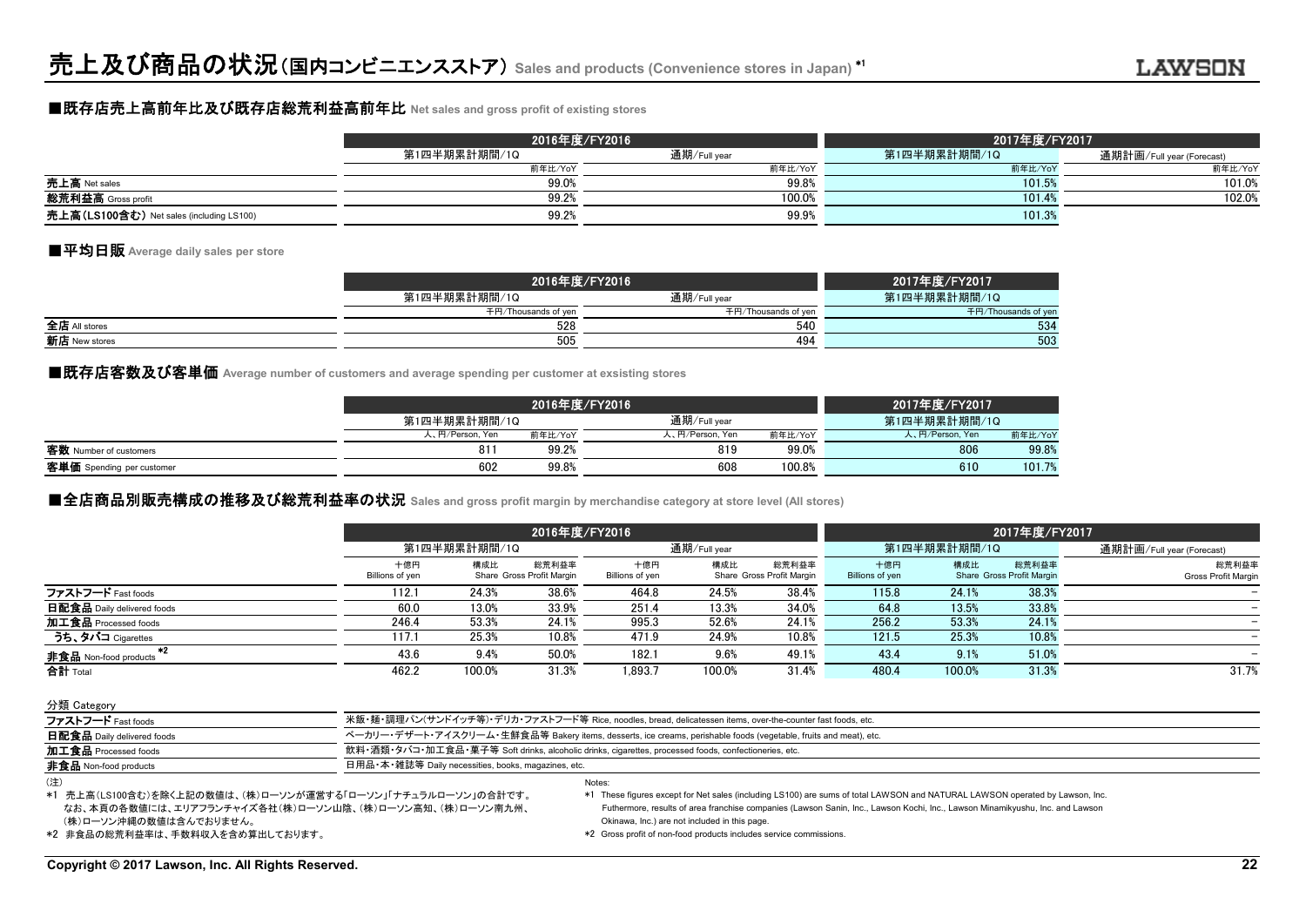#### ■既存店売上高前年比及び既存店総荒利益高前年比 **Net sales and gross profit of existing stores**

|                                          |              | 2016年度/FY2016 | 2017年度/FY2017 |                           |  |  |
|------------------------------------------|--------------|---------------|---------------|---------------------------|--|--|
|                                          | 第1四半期累計期間/1Q | 通期/Full year  | 第1四半期累計期間/1Q  | 通期計画/Full year (Forecast) |  |  |
|                                          | 前年比/YoY      | 前年比/YoY       | 前年比/YoY       | 前年比/YoY                   |  |  |
| 売上高 Net sales                            | 99.0%        | 99.8%         | 101.5%        | 101.0%                    |  |  |
| <b>総荒利益高</b> Gross profit                | 99.2%        | 100.0%        | 101.4%        | 102.0%                    |  |  |
| 売上高(LS100含む) Net sales (including LS100) | 99.2%        | 99.9%         | 101.3%        |                           |  |  |

#### ■平均日販 **Average daily sales per store**

|               | 2016年度/FY2016       | 2017年度/FY2017       |                     |
|---------------|---------------------|---------------------|---------------------|
|               | 第1四半期累計期間/1Q        | 通期/Full year        | 第1四半期累計期間/1Q        |
|               | 千円/Thousands of yen | 千円/Thousands of yen | 千円/Thousands of yen |
| 全店 All stores | 528                 | 540                 | 534                 |
| 新店 New stores | 505                 | 494                 | 503                 |

■既存店客数及び客単価 Average number of customers and average spending per customer at exsisting stores

|                           |                 | 2016年度/FY2016 |                 |         | 2017年度/FY2017   |         |
|---------------------------|-----------------|---------------|-----------------|---------|-----------------|---------|
|                           | 第1四半期累計期間/1Q    |               | 通期/Full year    |         | 第1四半期累計期間/1Q    |         |
|                           | 人、円/Person, Yen | 前年比/YoY       | 人、円/Person, Yen | 前年比/YoY | 人、円/Person, Yen | 前年比/YoY |
| 客数 Number of customers    | 81 <sup>°</sup> | 99.2%         | 819             | 99.0%   | 806             | 99.8%   |
| 客単価 Spending per customer | 602             | 99.8%         | 608             | 100.8%  | 610             | 101.7%  |

#### **■全店商品別販売構成の推移及び総荒利益率の状況** Sales and gross profit margin by merchandise category at store level (All stores)

|                            |                        | 2016年度/FY2016 |                                    |                        |              |                                    |                        |              | 2017年度/FY2017                      |                              |  |  |
|----------------------------|------------------------|---------------|------------------------------------|------------------------|--------------|------------------------------------|------------------------|--------------|------------------------------------|------------------------------|--|--|
|                            |                        | 第1四半期累計期間/1Q  |                                    |                        | 通期/Full year |                                    |                        | 第1四半期累計期間/1Q |                                    | 通期計画/Full year (Forecast)    |  |  |
|                            | 十億円<br>Billions of yen | 構成比           | 総荒利益率<br>Share Gross Profit Margin | 十億円<br>Billions of yen | 構成比          | 総荒利益率<br>Share Gross Profit Margin | 十億円<br>Billions of yen | 構成比          | 総荒利益率<br>Share Gross Profit Margin | 総荒利益率<br>Gross Profit Margin |  |  |
| ファストフード Fast foods         | 112.1                  | 24.3%         | 38.6%                              | 464.8                  | 24.5%        | 38.4%                              | 115.8                  | 24.1%        | 38.3%                              |                              |  |  |
| 日配食品 Daily delivered foods | 60.0                   | 13.0%         | 33.9%                              | 251.4                  | 13.3%        | 34.0%                              | 64.8                   | 13.5%        | 33.8%                              |                              |  |  |
| 加工食品 Processed foods       | 246.4                  | 53.3%         | 24.1%                              | 995.3                  | 52.6%        | 24.1%                              | 256.2                  | 53.3%        | 24.1%                              |                              |  |  |
| うち、タバコ Cigarettes          | 117.1                  | 25.3%         | 10.8%                              | 471.9                  | 24.9%        | 10.8%                              | 121.5                  | 25.3%        | 10.8%                              |                              |  |  |
| 非食品 Non-food products      | 43.6                   | 9.4%          | 50.0%                              | 182.1                  | 9.6%         | 49.1%                              | 43.4                   | 9.1%         | 51.0%                              |                              |  |  |
| 合計 Total                   | 462.2                  | 100.0%        | 31.3%                              | 1.893.7                | 100.0%       | 31.4%                              | 480.4                  | 100.0%       | 31.3%                              | 31.7%                        |  |  |

分類 Category ファストフード Fast foods カランド イン・スタック - 米飯・麺・調理パン(サンドイッチ等)・デリカ・ファストフード等 Rice, noodles, bread, delicatessen items, over-the-counter fast foods, etc. 日配食品 Daily delivered foods contained to the contact of the mail of the form of the foods (vegetable, fruits and meat), etc. 加工食品 Processed foods 飲料・酒類・タバコ・加工食品・菓子等 Soft drinks, alcoholic drinks, cigarettes, processed foods, confectioneries, etc. 非食品 Non-food products **example and according to the Control of Term** 日用品·本·雑誌等 Daily necessities, books, magazines, etc Notes:(注)

 (株)ローソン沖縄の数値は含んでおりません。 なお、本頁の各数値には、エリアフランチャイズ各社(株)ローソン山陰、(株)ローソン高知、(株)ローソン南九州、 \*1 売上高(LS100含む)を除く上記の数値は、(株)ローソンが運営する「ローソン」「ナチュラルローソン」の合計です。 \*1 These figures except for Net sales (including LS100) are sums of total LAWSON and NATURAL LAWSON operated by Lawson, Inc. Futhermore, results of area franchise companies (Lawson Sanin, Inc., Lawson Kochi, Inc., Lawson Minamikyushu, Inc. and Lawson Okinawa, Inc.) are not included in this page.

\*2 非食品の総荒利益率は、手数料収入を含め算出しております。 \*2 Gross profit of non-food products includes service commissions.